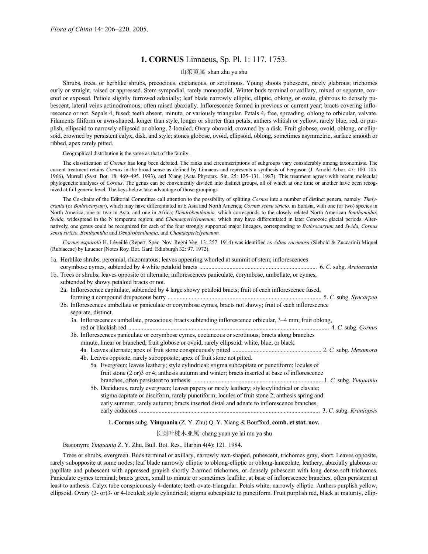# **1. CORNUS** Linnaeus, Sp. Pl. 1: 117. 1753.

# 山茱萸属 shan zhu yu shu

Shrubs, trees, or herblike shrubs, precocious, coetaneous, or serotinous. Young shoots pubescent, rarely glabrous; trichomes curly or straight, raised or appressed. Stem sympodial, rarely monopodial. Winter buds terminal or axillary, mixed or separate, covered or exposed. Petiole slightly furrowed adaxially; leaf blade narrowly elliptic, elliptic, oblong, or ovate, glabrous to densely pubescent, lateral veins actinodromous, often raised abaxially. Inflorescence formed in previous or current year; bracts covering inflorescence or not. Sepals 4, fused; teeth absent, minute, or variously triangular. Petals 4, free, spreading, oblong to orbicular, valvate. Filaments filiform or awn-shaped, longer than style, longer or shorter than petals; anthers whitish or yellow, rarely blue, red, or purplish, ellipsoid to narrowly ellipsoid or oblong, 2-loculed. Ovary obovoid, crowned by a disk. Fruit globose, ovoid, oblong, or ellipsoid, crowned by persistent calyx, disk, and style; stones globose, ovoid, ellipsoid, oblong, sometimes asymmetric, surface smooth or ribbed, apex rarely pitted.

Geographical distribution is the same as that of the family.

The classification of *Cornus* has long been debated. The ranks and circumscriptions of subgroups vary considerably among taxonomists. The current treatment retains *Cornus* in the broad sense as defined by Linnaeus and represents a synthesis of Ferguson (J. Arnold Arbor. 47: 100–105. 1966), Murrell (Syst. Bot. 18: 469–495. 1993), and Xiang (Acta Phytotax. Sin. 25: 125–131. 1987). This treatment agrees with recent molecular phylogenetic analyses of *Cornus*. The genus can be conveniently divided into distinct groups, all of which at one time or another have been recognized at full generic level. The keys below take advantage of those groupings.

The Co-chairs of the Editorial Committee call attention to the possibility of splitting *Cornus* into a number of distinct genera, namely: *Thelycrania* (or *Bothrocaryum*), which may have differentiated in E Asia and North America; *Cornus sensu stricto,* in Eurasia, with one (or two) species in North America, one or two in Asia, and one in Africa; *Dendrobenthamia,* which corresponds to the closely related North American *Benthamidia*; *Swida,* widespread in the N temperate region; and *Chamaepericlymenum,* which may have differentiated in later Cenozoic glacial periods. Alternatively, one genus could be recognized for each of the four strongly supported major lineages, corresponding to *Bothrocaryum* and *Swida, Cornus sensu stricto, Benthamidia* and *Dendrobenthamia,* and *Chamaepericlymenum*.

*Cornus esquirolii* H. Léveillé (Repert. Spec. Nov. Regni Veg. 13: 257. 1914) was identified as *Adina racemosa* (Siebold & Zuccarini) Miquel (Rubiaceae) by Lauener (Notes Roy. Bot. Gard. Edinburgh 32: 97. 1972).

| 1a. Herblike shrubs, perennial, rhizomatous; leaves appearing whorled at summit of stem; inflorescences                             |  |
|-------------------------------------------------------------------------------------------------------------------------------------|--|
|                                                                                                                                     |  |
| 1b. Trees or shrubs; leaves opposite or alternate; inflorescences paniculate, corymbose, umbellate, or cymes,                       |  |
| subtended by showy petaloid bracts or not.                                                                                          |  |
| 2a. Inflorescence capitulate, subtended by 4 large showy petaloid bracts; fruit of each inflorescence fused,                        |  |
|                                                                                                                                     |  |
| 2b. Inflorescences umbellate or paniculate or corymbose cymes, bracts not showy; fruit of each inflorescence<br>separate, distinct. |  |
| 3a. Inflorescences umbellate, precocious; bracts subtending inflorescence orbicular, 3–4 mm; fruit oblong,                          |  |
|                                                                                                                                     |  |
| 3b. Inflorescences paniculate or corymbose cymes, coetaneous or serotinous; bracts along branches                                   |  |
| minute, linear or branched; fruit globose or ovoid, rarely ellipsoid, white, blue, or black.                                        |  |
|                                                                                                                                     |  |
| 4b. Leaves opposite, rarely subopposite; apex of fruit stone not pitted.                                                            |  |
| 5a. Evergreen; leaves leathery; style cylindrical; stigma subcapitate or punctiform; locules of                                     |  |
| fruit stone (2 or)3 or 4; anthesis autumn and winter; bracts inserted at base of inflorescence                                      |  |
|                                                                                                                                     |  |
| 5b. Deciduous, rarely evergreen; leaves papery or rarely leathery; style cylindrical or clavate;                                    |  |
| stigma capitate or disciform, rarely punctiform; locules of fruit stone 2; anthesis spring and                                      |  |
| early summer, rarely autumn; bracts inserted distal and adnate to inflorescence branches,                                           |  |
|                                                                                                                                     |  |
| <b>1. Cornus</b> subg. Yinquania (Z. Y. Zhu) Q. Y. Xiang & Boufford, <b>comb. et stat. nov.</b>                                     |  |

#### 长圆叶梾木亚属 chang yuan ye lai mu ya shu

Basionym: *Yinquania* Z. Y. Zhu, Bull. Bot. Res., Harbin 4(4): 121. 1984.

Trees or shrubs, evergreen. Buds terminal or axillary, narrowly awn-shaped, pubescent, trichomes gray, short. Leaves opposite, rarely subopposite at some nodes; leaf blade narrowly elliptic to oblong-elliptic or oblong-lanceolate, leathery, abaxially glabrous or papillate and pubescent with appressed grayish shortly 2-armed trichomes, or densely pubescent with long dense soft trichomes. Paniculate cymes terminal; bracts green, small to minute or sometimes leaflike, at base of inflorescence branches, often persistent at least to anthesis. Calyx tube conspicuously 4-dentate; teeth ovate-triangular. Petals white, narrowly elliptic. Anthers purplish yellow, ellipsoid. Ovary (2- or)3- or 4-loculed; style cylindrical; stigma subcapitate to punctiform. Fruit purplish red, black at maturity, ellip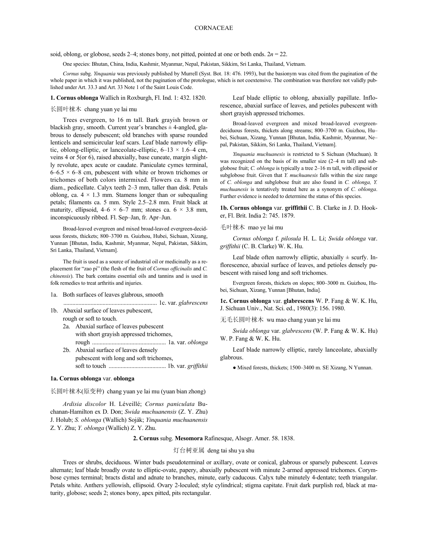soid, oblong, or globose, seeds 2–4; stones bony, not pitted, pointed at one or both ends. 2*n* = 22.

One species: Bhutan, China, India, Kashmir, Myanmar, Nepal, Pakistan, Sikkim, Sri Lanka, Thailand, Vietnam.

*Cornus* subg. *Yinquania* was previously published by Murrell (Syst. Bot. 18: 476. 1993), but the basionym was cited from the pagination of the whole paper in which it was published, not the pagination of the protologue, which is not coextensive. The combination was therefore not validly published under Art. 33.3 and Art. 33 Note 1 of the Saint Louis Code.

**1. Cornus oblonga** Wallich in Roxburgh, Fl. Ind. 1: 432. 1820.

# 长圆叶梾木 chang yuan ye lai mu

Trees evergreen, to 16 m tall. Bark grayish brown or blackish gray, smooth. Current year's branches  $\pm$  4-angled, glabrous to densely pubescent; old branches with sparse rounded lenticels and semicircular leaf scars. Leaf blade narrowly elliptic, oblong-elliptic, or lanceolate-elliptic,  $6-13 \times 1.6-4$  cm, veins 4 or 5(or 6), raised abaxially, base cuneate, margin slightly revolute, apex acute or caudate. Paniculate cymes terminal,  $6-6.5 \times 6-8$  cm, pubescent with white or brown trichomes or trichomes of both colors intermixed. Flowers ca. 8 mm in diam., pedicellate. Calyx teeth 2–3 mm, taller than disk. Petals oblong, ca.  $4 \times 1.3$  mm. Stamens longer than or subequaling petals; filaments ca. 5 mm. Style 2.5–2.8 mm. Fruit black at maturity, ellipsoid,  $4-6 \times 6-7$  mm; stones ca.  $6 \times 3.8$  mm, inconspicuously ribbed. Fl. Sep–Jan, fr. Apr–Jun.

Broad-leaved evergreen and mixed broad-leaved evergreen-deciduous forests, thickets; 800–3700 m. Guizhou, Hubei, Sichuan, Xizang, Yunnan [Bhutan, India, Kashmir, Myanmar, Nepal, Pakistan, Sikkim, Sri Lanka, Thailand, Vietnam].

The fruit is used as a source of industrial oil or medicinally as a replacement for "zao pi" (the flesh of the fruit of *Cornus officinalis* and *C. chinensis*). The bark contains essential oils and tannins and is used in folk remedies to treat arthritis and injuries.

- 1a. Both surfaces of leaves glabrous, smooth
- .............................................................. 1c. var. *glabrescens* 1b. Abaxial surface of leaves pubescent,
	- rough or soft to touch. 2a. Abaxial surface of leaves pubescent with short grayish appressed trichomes,
		- rough ................................................. 1a. var. *oblonga* 2b. Abaxial surface of leaves densely
		- pubescent with long and soft trichomes, soft to touch ...................................... 1b. var. *griffithii*

#### **1a. Cornus oblonga** var. **oblonga**

长圆叶梾木(原变种) chang yuan ye lai mu (yuan bian zhong)

*Ardisia discolor* H. Léveillé; *Cornus paniculata* Buchanan-Hamilton ex D. Don; *Swida muchuanensis* (Z. Y. Zhu) J. Holub; *S. oblonga* (Wallich) Soják; *Yinquania muchuanensis* Z. Y. Zhu; *Y. oblonga* (Wallich) Z. Y. Zhu.

Leaf blade elliptic to oblong, abaxially papillate. Inflorescence, abaxial surface of leaves, and petioles pubescent with short grayish appressed trichomes.

Broad-leaved evergreen and mixed broad-leaved evergreendeciduous forests, thickets along streams; 800–3700 m. Guizhou, Hu– bei, Sichuan, Xizang, Yunnan [Bhutan, India, Kashmir, Myanmar, Ne– pal, Pakistan, Sikkim, Sri Lanka, Thailand, Vietnam].

*Yinquania muchuanesis* is restricted to S Sichuan (Muchuan). It was recognized on the basis of its smaller size (2–4 m tall) and subglobose fruit; *C. oblonga* is typically a tree 2–16 m tall, with ellipsoid or subglobose fruit. Given that *Y. muchuanesis* falls within the size range of *C. oblonga* and subglobose fruit are also found in *C. oblonga, Y. muchuanesis* is tentatively treated here as a synonym of *C. oblonga*. Further evidence is needed to determine the status of this species.

**1b. Cornus oblonga** var. **griffithii** C. B. Clarke in J. D. Hooker, Fl. Brit. India 2: 745. 1879.

#### 毛叶梾木 mao ye lai mu

*Cornus oblonga* f. *pilosula* H. L. Li; *Swida oblonga* var. *griffithii* (C. B. Clarke) W. K. Hu.

Leaf blade often narrowly elliptic, abaxially  $\pm$  scurfy. Inflorescence, abaxial surface of leaves, and petioles densely pubescent with raised long and soft trichomes.

Evergreen forests, thickets on slopes; 800–3000 m. Guizhou, Hubei, Sichuan, Xizang, Yunnan [Bhutan, India].

**1c. Cornus oblonga** var. **glabrescens** W. P. Fang & W. K. Hu, J. Sichuan Univ., Nat. Sci. ed., 1980(3): 156. 1980.

无毛长圆叶梾木 wu mao chang yuan ye lai mu

*Swida oblonga* var. *glabrescens* (W. P. Fang & W. K. Hu) W. P. Fang & W. K. Hu.

Leaf blade narrowly elliptic, rarely lanceolate, abaxially glabrous.

● Mixed forests, thickets; 1500–3400 m. SE Xizang, N Yunnan.

**2. Cornus** subg. **Mesomora** Rafinesque, Alsogr. Amer. 58. 1838.

# 灯台树亚属 deng tai shu ya shu

Trees or shrubs, deciduous. Winter buds pseudoterminal or axillary, ovate or conical, glabrous or sparsely pubescent. Leaves alternate; leaf blade broadly ovate to elliptic-ovate, papery, abaxially pubescent with minute 2-armed appressed trichomes. Corymbose cymes terminal; bracts distal and adnate to branches, minute, early caducous. Calyx tube minutely 4-dentate; teeth triangular. Petals white. Anthers yellowish, ellipsoid. Ovary 2-loculed; style cylindrical; stigma capitate. Fruit dark purplish red, black at maturity, globose; seeds 2; stones bony, apex pitted, pits rectangular.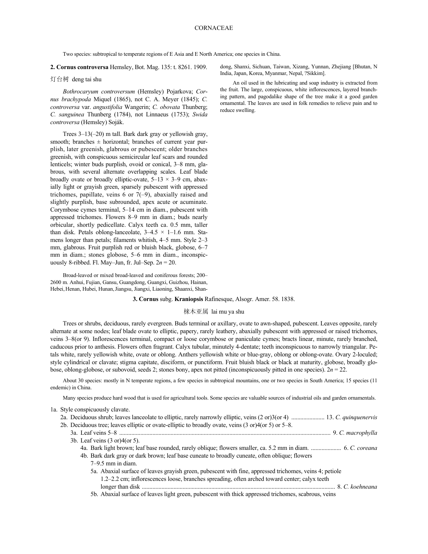Two species: subtropical to temperate regions of E Asia and E North America; one species in China.

**2. Cornus controversa** Hemsley, Bot. Mag. 135: t. 8261. 1909.

#### 灯台树 deng tai shu

*Bothrocaryum controversum* (Hemsley) Pojarkova; *Cornus brachypoda* Miquel (1865), not C. A. Meyer (1845); *C. controversa* var. *angustifolia* Wangerin; *C. obovata* Thunberg; *C. sanguinea* Thunberg (1784), not Linnaeus (1753); *Swida controversa* (Hemsley) Soják.

Trees 3–13(–20) m tall. Bark dark gray or yellowish gray, smooth; branches  $\pm$  horizontal; branches of current year purplish, later greenish, glabrous or pubescent; older branches greenish, with conspicuous semicircular leaf scars and rounded lenticels; winter buds purplish, ovoid or conical, 3–8 mm, glabrous, with several alternate overlapping scales. Leaf blade broadly ovate or broadly elliptic-ovate,  $5-13 \times 3-9$  cm, abaxially light or grayish green, sparsely pubescent with appressed trichomes, papillate, veins 6 or 7(–9), abaxially raised and slightly purplish, base subrounded, apex acute or acuminate. Corymbose cymes terminal, 5–14 cm in diam., pubescent with appressed trichomes. Flowers 8–9 mm in diam.; buds nearly orbicular, shortly pedicellate. Calyx teeth ca. 0.5 mm, taller than disk. Petals oblong-lanceolate,  $3-4.5 \times 1-1.6$  mm. Stamens longer than petals; filaments whitish, 4–5 mm. Style 2–3 mm, glabrous. Fruit purplish red or bluish black, globose, 6–7 mm in diam.; stones globose, 5–6 mm in diam., inconspicuously 8-ribbed. Fl. May–Jun, fr. Jul–Sep. 2*n* = 20.

Broad-leaved or mixed broad-leaved and coniferous forests; 200– 2600 m. Anhui, Fujian, Gansu, Guangdong, Guangxi, Guizhou, Hainan, Hebei,Henan, Hubei, Hunan,Jiangsu, Jiangxi, Liaoning, Shaanxi, Shan-

#### **3. Cornus** subg. **Kraniopsis** Rafinesque, Alsogr. Amer. 58. 1838.

# 梾木亚属 lai mu ya shu

Trees or shrubs, deciduous, rarely evergreen. Buds terminal or axillary, ovate to awn-shaped, pubescent. Leaves opposite, rarely alternate at some nodes; leaf blade ovate to elliptic, papery, rarely leathery, abaxially pubescent with appressed or raised trichomes, veins 3–8(or 9). Inflorescences terminal, compact or loose corymbose or paniculate cymes; bracts linear, minute, rarely branched, caducous prior to anthesis. Flowers often fragrant. Calyx tubular, minutely 4-dentate; teeth inconspicuous to narrowly triangular. Petals white, rarely yellowish white, ovate or oblong. Anthers yellowish white or blue-gray, oblong or oblong-ovate. Ovary 2-loculed; style cylindrical or clavate; stigma capitate, disciform, or punctiform. Fruit bluish black or black at maturity, globose, broadly globose, oblong-globose, or subovoid, seeds 2; stones bony, apex not pitted (inconspicuously pitted in one species). 2*n* = 22.

About 30 species: mostly in N temperate regions, a few species in subtropical mountains, one or two species in South America; 15 species (11 endemic) in China.

Many species produce hard wood that is used for agricultural tools. Some species are valuable sources of industrial oils and garden ornamentals.

<sup>1</sup>a. Style conspicuously clavate.

| 2a. Deciduous shrub; leaves lanceolate to elliptic, rarely narrowly elliptic, veins (2 or)3(or 4)  13. C. quinquenervis |
|-------------------------------------------------------------------------------------------------------------------------|
| 2b. Deciduous tree; leaves elliptic or ovate-elliptic to broadly ovate, veins $(3 \text{ or } )4$ (or 5) or 5–8.        |
|                                                                                                                         |
| 3b. Leaf veins $(3 \text{ or } 4$ (or 5).                                                                               |
| 4a. Bark light brown; leaf base rounded, rarely oblique; flowers smaller, ca. 5.2 mm in diam.  6. C. coreana            |
| 4b. Bark dark gray or dark brown; leaf base cuneate to broadly cuneate, often oblique; flowers                          |
| $7-9.5$ mm in diam.                                                                                                     |
| 5a. Abaxial surface of leaves grayish green, pubescent with fine, appressed trichomes, veins 4; petiole                 |
| 1.2–2.2 cm; inflorescences loose, branches spreading, often arched toward center; calyx teeth                           |
|                                                                                                                         |
| 5b. Abaxial surface of leaves light green, pubescent with thick appressed trichomes, scabrous, veins                    |

dong, Shanxi, Sichuan, Taiwan, Xizang, Yunnan, Zhejiang [Bhutan, N India, Japan, Korea, Myanmar, Nepal, ?Sikkim].

An oil used in the lubricating and soap industry is extracted from the fruit. The large, conspicuous, white inflorescences, layered branching pattern, and pagodalike shape of the tree make it a good garden ornamental. The leaves are used in folk remedies to relieve pain and to reduce swelling.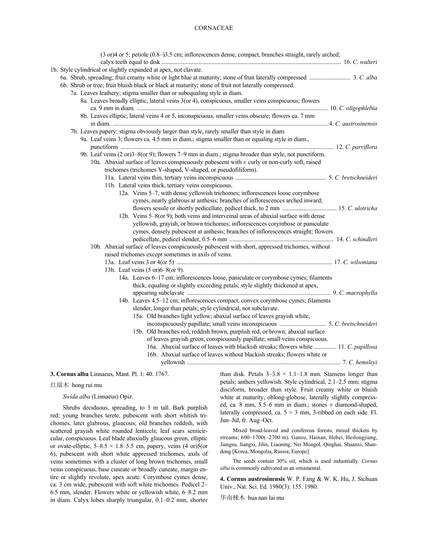# CORNACEAE

| (3 or)4 or 5; petiole (0.8-)3.5 cm; inflorescences dense, compact, branches straight, rarely arched; |  |
|------------------------------------------------------------------------------------------------------|--|
| 1b. Style cylindrical or slightly expanded at apex, not clavate.                                     |  |
|                                                                                                      |  |
| 6b. Shrub or tree; fruit bluish black or black at maturity; stone of fruit not laterally compressed. |  |
| 7a. Leaves leathery; stigma smaller than or subequaling style in diam.                               |  |
| 8a. Leaves broadly elliptic, lateral veins 3(or 4), conspicuous, smaller veins conspicuous; flowers  |  |
|                                                                                                      |  |
| 8b. Leaves elliptic, lateral veins 4 or 5, inconspicuous, smaller veins obscure; flowers ca. 7 mm    |  |
|                                                                                                      |  |
| 7b. Leaves papery; stigma obviously larger than style, rarely smaller than style in diam.            |  |
| 9a. Leaf veins 3; flowers ca. 4.5 mm in diam.; stigma smaller than or equaling style in diam.,       |  |
|                                                                                                      |  |
| 9b. Leaf veins (2 or)3–8(or 9); flowers 7–9 mm in diam.; stigma broader than style, not punctiform.  |  |
| 10a. Abaxial surface of leaves conspicuously pubescent with $\pm$ curly or non-curly soft, raised    |  |
| trichomes (trichomes Y-shaped, V-shaped, or pseudofiliform).                                         |  |
|                                                                                                      |  |
| 11b. Lateral veins thick, tertiary veins conspicuous.                                                |  |
| 12a. Veins 5-7, with dense yellowish trichomes; inflorescences loose corymbose                       |  |
| cymes, nearly glabrous at anthesis; branches of inflorescences arched inward;                        |  |
|                                                                                                      |  |
| 12b. Veins 5–8(or 9); both veins and interveinal areas of abaxial surface with dense                 |  |
| yellowish, grayish, or brown trichomes; inflorescences corymbose or paniculate                       |  |
| cymes, densely pubescent at anthesis; branches of inflorescences straight; flowers                   |  |
|                                                                                                      |  |
| 10b. Abaxial surface of leaves conspicuously pubescent with short, appressed trichomes, without      |  |
| raised trichomes except sometimes in axils of veins.                                                 |  |
|                                                                                                      |  |
| 13b. Leaf veins (5 or) 6-8 (or 9).                                                                   |  |
| 14a. Leaves 6-17 cm; inflorescences loose, paniculate or corymbose cymes; filaments                  |  |
| thick, equaling or slightly exceeding petals; style slightly thickened at apex,                      |  |
|                                                                                                      |  |
| 14b. Leaves 4.5–12 cm; inflorescences compact, convex corymbose cymes; filaments                     |  |
| slender, longer than petals; style cylindrical, not subclavate.                                      |  |
| 15a. Old branches light yellow; abaxial surface of leaves grayish white,                             |  |
|                                                                                                      |  |
| 15b. Old branches red, reddish brown, purplish red, or brown; abaxial surface                        |  |
| of leaves grayish green, conspicuously papillate; small veins conspicuous.                           |  |
| 16a. Abaxial surface of leaves with blackish streaks; flowers white  11. C. papillosa                |  |
| 16b. Abaxial surface of leaves without blackish streaks; flowers white or                            |  |
|                                                                                                      |  |
|                                                                                                      |  |

**3. Cornus alba** Linnaeus, Mant. Pl. 1: 40. 1767.

#### 红瑞木 hong rui mu

*Swida alba* (Linnaeus) Opiz.

Shrubs deciduous, spreading, to 3 m tall. Bark purplish red; young branches terete, pubescent with short whitish trichomes, later glabrous, glaucous; old branches reddish, with scattered grayish white rounded lenticels; leaf scars semicircular, conspicuous. Leaf blade abaxially glaucous green, elliptic or ovate-elliptic,  $5-8.5 \times 1.8-5.5$  cm, papery, veins  $(4 \text{ or})5$ (or 6), pubescent with short white appressed trichomes, axils of veins sometimes with a cluster of long brown trichomes, small veins conspicuous, base cuneate or broadly cuneate, margin entire or slightly revolute, apex acute. Corymbose cymes dense, ca. 3 cm wide, pubescent with soft white trichomes. Pedicel 2– 6.5 mm, slender. Flowers white or yellowish white, 6–8.2 mm in diam. Calyx lobes sharply triangular, 0.1–0.2 mm, shorter

than disk. Petals  $3-3.8 \times 1.1-1.8$  mm. Stamens longer than petals; anthers yellowish. Style cylindrical, 2.1–2.5 mm; stigma disciform, broader than style. Fruit creamy white or bluish white at maturity, oblong-globose, laterally slightly compressed, ca. 8 mm, 5.5–6 mm in diam.; stones  $\pm$  diamond-shaped, laterally compressed, ca.  $5 \times 3$  mm, 3-ribbed on each side. Fl. Jun–Jul, fr. Aug–Oct.

Mixed broad-leaved and coniferous forests, mixed thickets by streams; 600-1700(-2700 m). Gansu, Hainan, Hebei, Heilongjiang, Jiangsu, Jiangxi, Jilin, Liaoning, Nei Mongol, Qinghai, Shaanxi, Shandong [Korea, Mongolia, Russia; Europe].

The seeds contain 30% oil, which is used industrially. *Cornus alba* is commonly cultivated as an ornamental.

**4. Cornus austrosinensis** W. P. Fang & W. K. Hu, J. Sichuan Univ., Nat. Sci. Ed. 1980(3): 155. 1980.

华南梾木 hua nan lai mu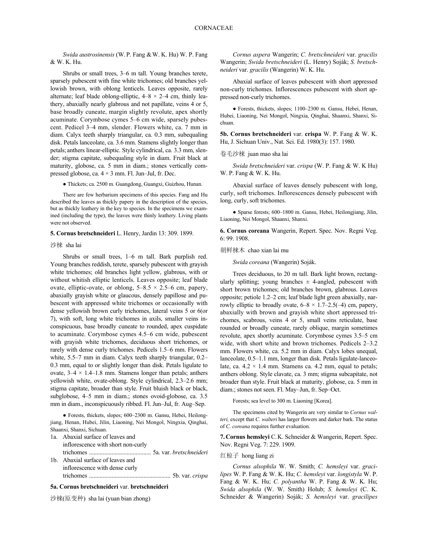*Swida austrosinensis* (W.P. Fang &W. K. Hu) W. P. Fang & W. K. Hu.

Shrubs or small trees, 3–6 m tall. Young branches terete, sparsely pubescent with fine white trichomes; old branches yellowish brown, with oblong lenticels. Leaves opposite, rarely alternate; leaf blade oblong-elliptic,  $4-8 \times 2-4$  cm, thinly leathery, abaxially nearly glabrous and not papillate, veins 4 or 5, base broadly cuneate, margin slightly revolute, apex shortly acuminate. Corymbose cymes 5–6 cm wide, sparsely pubescent. Pedicel 3–4 mm, slender. Flowers white, ca. 7 mm in diam. Calyx teeth sharply triangular, ca. 0.3 mm, subequaling disk. Petals lanceolate, ca. 3.6 mm. Stamens slightly longer than petals; anthers linear-elliptic. Style cylindrical, ca. 3.3 mm, slender; stigma capitate, subequaling style in diam. Fruit black at maturity, globose, ca. 5 mm in diam.; stones vertically compressed globose, ca.  $4 \times 3$  mm. Fl. Jun–Jul, fr. Dec.

There are few herbarium specimens of this species. Fang and Hu curly, soft trichomes. In the described the leaves as thickly papery in the description of the species, long, curly, soft trichomes. but as thickly leathery in the key to species. In the specimens we examined (including the type), the leaves were thinly leathery. Living plants were not observed.

#### **5. Cornus bretschneideri** L. Henry, Jardin 13: 309. 1899.

Shrubs or small trees, 1–6 m tall. Bark purplish red. Young branches reddish, terete, sparsely pubescent with grayish white trichomes; old branches light yellow, glabrous, with or without whitish elliptic lenticels. Leaves opposite; leaf blade ovate, elliptic-ovate, or oblong,  $5-8.5 \times 2.5-6$  cm, papery, abaxially grayish white or glaucous, densely papillose and pubescent with appressed white trichomes or occasionally with dense yellowish brown curly trichomes, lateral veins 5 or 6(or 7), with soft, long white trichomes in axils, smaller veins inconspicuous, base broadly cuneate to rounded, apex cuspidate to acuminate. Corymbose cymes 4.5–6 cm wide, pubescent with grayish white trichomes, deciduous short trichomes, or rarely with dense curly trichomes. Pedicels 1.5–6 mm. Flowers white, 5.5–7 mm in diam. Calyx teeth sharply triangular, 0.2– 0.3 mm, equal to or slightly longer than disk. Petals ligulate to ovate,  $3-4 \times 1.4-1.8$  mm. Stamens longer than petals; anthers yellowish white, ovate-oblong. Style cylindrical, 2.3–2.6 mm; stigma capitate, broader than style. Fruit bluish black or black, subglobose, 4–5 mm in diam.; stones ovoid-globose, ca. 3.5 mm in diam., inconspicuously ribbed. Fl. Jun–Jul, fr. Aug–Sep.

● Forests, thickets, slopes; 600–2300 m. Gansu, Hebei, Heilongjiang, Henan, Hubei, Jilin, Liaoning, Nei Mongol, Ningxia, Qinghai, Shaanxi, Shanxi, Sichuan.

|  | 1a. Abaxial surface of leaves and  |
|--|------------------------------------|
|  | inflorescence with short non-curly |
|  |                                    |
|  | 1b. Abaxial surface of leaves and  |

inflorescence with dense curly trichomes ...................................................... 5b. var. *crispa*

#### **5a. Cornus bretschneideri** var. **bretschneideri**

沙梾(原变种) sha lai (yuan bian zhong)

*Cornus aspera* Wangerin; *C. bretschneideri* var. *gracilis* Wangerin; *Swida bretschneideri* (L. Henry) Soják; *S. bretschneideri* var. *gracilis* (Wangerin) W. K. Hu.

Abaxial surface of leaves pubescent with short appressed non-curly trichomes. Inflorescences pubescent with short appressed non-curly trichomes.

● Forests, thickets, slopes; 1100–2300 m. Gansu, Hebei, Henan, Hubei, Liaoning, Nei Mongol, Ningxia, Qinghai, Shaanxi, Shanxi, Sichuan.

**5b. Cornus bretschneideri** var. **crispa** W. P. Fang & W. K. Hu, J. Sichuan Univ., Nat. Sci. Ed. 1980(3): 157. 1980.

#### 卷毛沙梾 juan mao sha lai

*Swida bretschneideri* var. *crispa* (W. P. Fang & W. K Hu) W. P. Fang & W. K. Hu.

● Thickets; ca. 2500 m. Guangdong, Guangxi, Guizhou, Hunan. Abaxial surface of leaves densely pubescent with long, curly, soft trichomes. Inflorescences densely pubescent with

> ● Sparse forests; 600–1800 m. Gansu, Hebei, Heilongjiang, Jilin, Liaoning, Nei Mongol, Shaanxi, Shanxi.

> **6. Cornus coreana** Wangerin, Repert. Spec. Nov. Regni Veg. 6: 99. 1908.

# 沙梾 sha lai handa handa handa handa handa handa handa handa handa handa handa handa handa handa handa handa han

*Swida coreana* (Wangerin) Soják.

Trees deciduous, to 20 m tall. Bark light brown, rectangularly splitting; young branches  $\pm$  4-angled, pubescent with short brown trichomes; old branches brown, glabrous. Leaves opposite; petiole 1.2–2 cm; leaf blade light green abaxially, narrowly elliptic to broadly ovate,  $6-8 \times 1.7-2.5(-4)$  cm, papery, abaxially with brown and grayish white short appressed trichomes, scabrous, veins 4 or 5, small veins reticulate, base rounded or broadly cuneate, rarely oblique, margin sometimes revolute, apex shortly acuminate. Corymbose cymes 3.5–5 cm wide, with short white and brown trichomes. Pedicels 2–3.2 mm. Flowers white, ca. 5.2 mm in diam. Calyx lobes unequal, lanceolate, 0.5–1.1 mm, longer than disk. Petals ligulate-lanceolate, ca.  $4.2 \times 1.4$  mm. Stamens ca. 4.2 mm, equal to petals; anthers oblong. Style clavate, ca. 3 mm; stigma subcapitate, not broader than style. Fruit black at maturity, globose, ca. 5 mm in diam.; stones not seen. Fl. May–Jun, fr. Sep–Oct.

Forests; sea level to 300 m. Liaoning [Korea].

The specimens cited by Wangerin are very similar to *Cornus walteri,* except that *C. walteri* has larger flowers and darker bark. The status of *C. coreana* requires further evaluation.

**7. Cornus hemsleyi** C.K. Schneider & Wangerin, Repert. Spec. Nov. Regni Veg. 7: 229. 1909.

#### 红椋子 hong liang zi

*Cornus alsophila* W. W. Smith; *C. hemsleyi* var. *gracilipes* W. P. Fang & W. K. Hu; *C. hemsleyi* var. *longistyla* W. P. Fang & W. K. Hu; *C. polyantha* W. P. Fang & W. K. Hu; *Swida alsophila* (W. W. Smith) Holub; *S. hemsleyi* (C. K. Schneider & Wangerin) Soják; *S. hemsleyi* var. *gracilipes*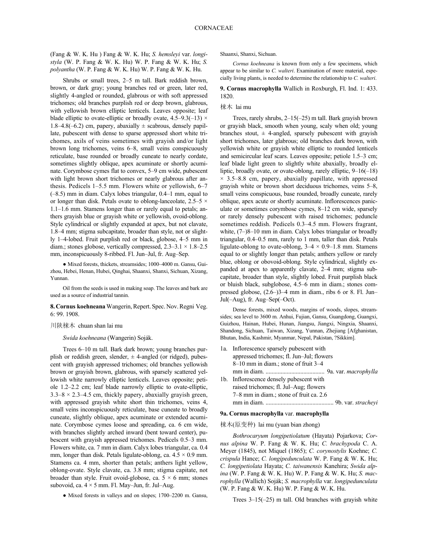(Fang & W. K. Hu ) Fang & W. K. Hu; *S. hemsleyi* var. *longistyla* (W. P. Fang & W. K. Hu) W. P. Fang & W. K. Hu; *S. polyantha* (W. P. Fang & W. K. Hu) W. P. Fang & W. K. Hu.

Shrubs or small trees, 2–5 m tall. Bark reddish brown, brown, or dark gray; young branches red or green, later red, slightly 4-angled or rounded, glabrous or with soft appressed trichomes; old branches purplish red or deep brown, glabrous, with yellowish brown elliptic lenticels. Leaves opposite; leaf blade elliptic to ovate-elliptic or broadly ovate,  $4.5-9.3(-13) \times$ 1.8–4.8(–6.2) cm, papery, abaxially  $\pm$  scabrous, densely papillate, pubescent with dense to sparse appressed short white trichomes, axils of veins sometimes with grayish and/or light brown long trichomes, veins 6–8, small veins conspicuously reticulate, base rounded or broadly cuneate to nearly cordate, sometimes slightly oblique, apex acuminate or shortly acuminate. Corymbose cymes flat to convex, 5–9 cm wide, pubescent with light brown short trichomes or nearly glabrous after anthesis. Pedicels 1–5.5 mm. Flowers white or yellowish, 6–7 (–8.5) mm in diam. Calyx lobes triangular, 0.4–1 mm, equal to or longer than disk. Petals ovate to oblong-lanceolate,  $2.5-5 \times$ 1.1–1.6 mm. Stamens longer than or rarely equal to petals; anthers grayish blue or grayish white or yellowish, ovoid-oblong. Style cylindrical or slightly expanded at apex, but not clavate, 1.8–4 mm; stigma subcapitate, broader than style, not or slightly 1–4-lobed. Fruit purplish red or black, globose, 4–5 mm in diam.; stones globose, vertically compressed, 2.3–3.1 × 1.8–2.5 mm, inconspicuously 8-ribbed. Fl. Jun–Jul, fr. Aug–Sep.

● Mixed forests, thickets, streamsides; 1000–4000 m. Gansu, Guizhou, Hebei, Henan, Hubei, Qinghai, Shaanxi, Shanxi, Sichuan, Xizang, Yunnan.

Oil from the seeds is used in making soap. The leaves and bark are used as a source of industrial tannin.

8. Cornus koehneana Wangerin, Repert. Spec. Nov. Regni Veg. 6: 99. 1908.

# 川陕梾木 chuan shan lai mu

*Swida koehneana* (Wangerin) Soják.

Trees 6–10 m tall. Bark dark brown; young branches purplish or reddish green, slender,  $\pm$  4-angled (or ridged), pubescent with grayish appressed trichomes; old branches yellowish brown or grayish brown, glabrous, with sparsely scattered yellowish white narrowly elliptic lenticels. Leaves opposite; petiole 1.2–2.2 cm; leaf blade narrowly elliptic to ovate-elliptic,  $3.3-8 \times 2.3-4.5$  cm, thickly papery, abaxially grayish green, with appressed grayish white short thin trichomes, veins 4, small veins inconspicuously reticulate, base cuneate to broadly cuneate, slightly oblique, apex acuminate or extended acuminate. Corymbose cymes loose and spreading, ca. 6 cm wide, with branches slightly arched inward (bent toward center), pubescent with grayish appressed trichomes. Pedicels 0.5–3 mm. Flowers white, ca. 7 mm in diam. Calyx lobes triangular, ca. 0.4 mm, longer than disk. Petals ligulate-oblong, ca.  $4.5 \times 0.9$  mm. Stamens ca. 4 mm, shorter than petals; anthers light yellow, oblong-ovate. Style clavate, ca. 3.8 mm; stigma capitate, not broader than style. Fruit ovoid-globose, ca.  $5 \times 6$  mm; stones subovoid, ca.  $4 \times 5$  mm. Fl. May–Jun, fr. Jul–Aug.

● Mixed forests in valleys and on slopes; 1700–2200 m. Gansu,

Shaanxi, Shanxi, Sichuan.

*Cornus koehneana* is known from only a few specimens, which appear to be similar to *C. walteri*. Examination of more material, especially living plants, is needed to determine the relationship to *C. walteri*.

# **9. Cornus macrophylla** Wallich in Roxburgh, Fl. Ind. 1: 433. 1820.

#### 梾木 lai mu

Trees, rarely shrubs, 2–15(–25) m tall. Bark grayish brown or grayish black, smooth when young, scaly when old; young branches stout,  $\pm$  4-angled, sparsely pubescent with grayish short trichomes, later glabrous; old branches dark brown, with yellowish white or grayish white elliptic to rounded lenticels and semicircular leaf scars. Leaves opposite; petiole 1.5–3 cm; leaf blade light green to slightly white abaxially, broadly elliptic, broadly ovate, or ovate-oblong, rarely elliptic, 9–16(–18)  $\times$  3.5–8.8 cm, papery, abaxially papillate, with appressed grayish white or brown short deciduous trichomes, veins 5–8, small veins conspicuous, base rounded, broadly cuneate, rarely oblique, apex acute or shortly acuminate. Inflorescences paniculate or sometimes corymbose cymes, 8–12 cm wide, sparsely or rarely densely pubescent with raised trichomes; peduncle sometimes reddish. Pedicels 0.3–4.5 mm. Flowers fragrant, white,  $(7-)8-10$  mm in diam. Calyx lobes triangular or broadly triangular, 0.4–0.5 mm, rarely to 1 mm, taller than disk. Petals ligulate-oblong to ovate-oblong,  $3-4 \times 0.9-1.8$  mm. Stamens equal to or slightly longer than petals; anthers yellow or rarely blue, oblong or obovoid-oblong. Style cylindrical, slightly expanded at apex to apparently clavate, 2–4 mm; stigma subcapitate, broader than style, slightly lobed. Fruit purplish black or bluish black, subglobose, 4.5–6 mm in diam.; stones compressed globose, (2.6–)3–4 mm in diam., ribs 6 or 8. Fl. Jun– Jul(–Aug), fr. Aug–Sep(–Oct).

Dense forests, mixed woods, margins of woods, slopes, streamsides; sea level to 3600 m. Anhui, Fujian, Gansu, Guangdong, Guangxi, Guizhou, Hainan, Hubei, Hunan, Jiangsu, Jiangxi, Ningxia, Shaanxi, Shandong, Sichuan, Taiwan, Xizang, Yunnan, Zhejiang [Afghanistan, Bhutan, India, Kashmir, Myanmar, Nepal, Pakistan, ?Sikkim].

1a. Inflorescence sparsely pubescent with appressed trichomes; fl. Jun–Jul; flowers 8–10 mm in diam.; stone of fruit 3–4 mm in diam. ....................................... 9a. var. *macrophylla* 1b. Inflorescence densely pubescent with raised trichomes; fl. Jul–Aug; flowers 7–8 mm in diam.; stone of fruit ca. 2.6 mm in diam. ............................................. 9b. var. *stracheyi*

#### **9a. Cornus macrophylla** var. **macrophylla**

#### 梾木(原变种) lai mu (yuan bian zhong)

*Bothrocaryum longipetiolatum* (Hayata) Pojarkova; *Cornus alpina* W. P. Fang & W. K. Hu; *C. brachypoda* C. A. Meyer (1845), not Miquel (1865); *C. corynostylis* Koehne; *C. crispula* Hance; *C. longipedunculata* W. P. Fang & W. K. Hu; *C. longipetiolata* Hayata; *C. taiwanensis* Kanehira; *Swida alpina* (W. P. Fang & W. K. Hu) W. P. Fang & W. K. Hu; *S. macrophylla* (Wallich) Soják; *S. macrophylla* var. *longipedunculata* (W. P. Fang & W. K. Hu) W. P. Fang & W. K. Hu.

Trees 3–15(–25) m tall. Old branches with grayish white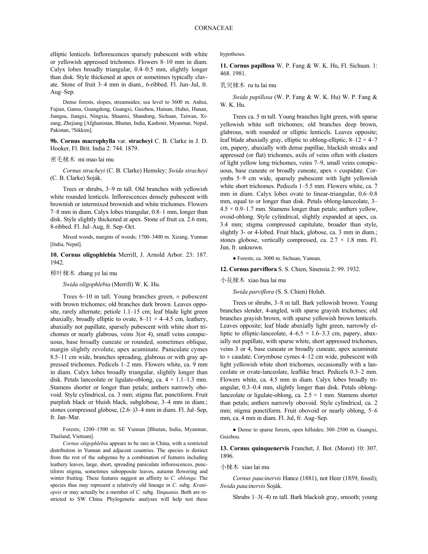elliptic lenticels. Inflorescences sparsely pubescent with white or yellowish appressed trichomes. Flowers 8–10 mm in diam. Calyx lobes broadly triangular, 0.4–0.5 mm, slightly longer than disk. Style thickened at apex or sometimes typically clavate. Stone of fruit 3–4 mm in diam., 6-ribbed. Fl. Jun–Jul, fr. Aug–Sep.

Dense forests, slopes, streamsides; sea level to 3600 m. Anhui, Fujian, Gansu, Guangdong, Guangxi, Guizhou, Hainan, Hubei, Hunan, Jiangsu, Jiangxi, Ningxia, Shaanxi, Shandong, Sichuan, Taiwan, Xizang, Zhejiang [Afghanistan, Bhutan, India, Kashmir, Myanmar, Nepal, Pakistan, ?Sikkim].

**9b. Cornus macrophylla** var. **stracheyi** C. B. Clarke in J. D. Hooker, Fl. Brit. India 2: 744. 1879.

#### 密毛梾木 mi mao lai mu

*Cornus stracheyi* (C. B. Clarke) Hemsley; *Swida stracheyi* (C. B. Clarke) Soják.

Trees or shrubs, 3–9 m tall. Old branches with yellowish white rounded lenticels. Inflorescences densely pubescent with brownish or intermixed brownish and white trichomes. Flowers 7–8 mm in diam. Calyx lobes triangular, 0.8–1 mm, longer than disk. Style slightly thickened at apex. Stone of fruit ca. 2.6 mm, 8-ribbed. Fl. Jul–Aug, fr. Sep–Oct.

Mixed woods, margins of woods; 1700–3400 m. Xizang, Yunnan [India, Nepal].

# **10. Cornus oligophlebia** Merrill, J. Arnold Arbor. 23: 187. 1942.

樟叶梾木 zhang ye lai mu

*Swida oligophlebia* (Merrill) W. K. Hu.

Trees  $6-10$  m tall. Young branches green,  $\pm$  pubescent with brown trichomes; old branches dark brown. Leaves opposite, rarely alternate; petiole 1.1–15 cm; leaf blade light green abaxially, broadly elliptic to ovate,  $8-11 \times 4-4.5$  cm, leathery, abaxially not papillate, sparsely pubescent with white short trichomes or nearly glabrous, veins 3(or 4), small veins conspicuous, base broadly cuneate or rounded, sometimes oblique, margin slightly revolute, apex acuminate. Paniculate cymes 8.5–11 cm wide, branches spreading, glabrous or with gray appressed trichomes. Pedicels 1–2 mm. Flowers white, ca. 9 mm in diam. Calyx lobes broadly triangular, slightly longer than disk. Petals lanceolate or ligulate-oblong, ca.  $4 \times 1.1$ –1.3 mm. Stamens shorter or longer than petals; anthers narrowly obovoid. Style cylindrical, ca. 3 mm; stigma flat, punctiform. Fruit purplish black or bluish black, subglobose, 3–4 mm in diam.; stones compressed globose, (2.6–)3–4 mm in diam. Fl. Jul–Sep, fr. Jan–Mar.

Forests; 1200–1500 m. SE Yunnan [Bhutan, India, Myanmar, Thailand, Vietnam].

*Cornus oligophlebia* appears to be rare in China, with a restricted distribution in Yunnan and adjacent countries. The species is distinct from the rest of the subgenus by a combination of features including leathery leaves, large, short, spreading paniculate inflorescences, punctiform stigma, sometimes subopposite leaves, autumn flowering and winter fruiting. These features suggest an affinity to *C. oblonga*. The species thus may represent a relatively old lineage in *C.* subg. *Kraniopsis* or may actually be a member of *C.* subg. *Yinquania*. Both are restricted to SW China. Phylogenetic analyses will help test these hypotheses.

**11. Cornus papillosa** W. P. Fang & W. K. Hu, Fl. Sichuan. 1: 468. 1981.

乳突梾木 ru tu lai mu

*Swida papillosa* (W. P. Fang & W. K. Hu) W. P. Fang & W. K. Hu.

Trees ca. 5 m tall. Young branches light green, with sparse yellowish white soft trichomes; old branches deep brown, glabrous, with rounded or elliptic lenticels. Leaves opposite; leaf blade abaxially gray, elliptic to oblong-elliptic,  $8-12 \times 4-7$ cm, papery, abaxially with dense papillae, blackish streaks and appressed (or flat) trichomes, axils of veins often with clusters of light yellow long trichomes, veins 7–9, small veins conspicuous, base cuneate or broadly cuneate, apex  $\pm$  cuspidate. Corymbs 5–9 cm wide, sparsely pubescent with light yellowish white short trichomes. Pedicels 1–5.5 mm. Flowers white, ca. 7 mm in diam. Calyx lobes ovate to linear-triangular, 0.6–0.8 mm, equal to or longer than disk. Petals oblong-lanceolate, 3–  $4.5 \times 0.9$ –1.7 mm. Stamens longer than petals; anthers yellow, ovoid-oblong. Style cylindrical, slightly expanded at apex, ca. 3.4 mm; stigma compressed capitulate, broader than style, slightly 3- or 4-lobed. Fruit black, globose, ca. 3 mm in diam.; stones globose, vertically compressed, ca.  $2.7 \times 1.8$  mm. Fl. Jun, fr. unknown.

● Forests; ca. 3000 m. Sichuan, Yunnan.

**12. Cornus parviflora** S. S. Chien, Sinensia 2: 99. 1932.

小花梾木 xiao hua lai mu

*Swida parviflora* (S. S. Chien) Holub.

Trees or shrubs, 3–8 m tall. Bark yellowish brown. Young branches slender, 4-angled, with sparse grayish trichomes; old branches grayish brown, with sparse yellowish brown lenticels. Leaves opposite; leaf blade abaxially light green, narrowly elliptic to elliptic-lanceolate,  $4-6.5 \times 1.6-3.3$  cm, papery, abaxially not papillate, with sparse white, short appressed trichomes, veins 3 or 4, base cuneate or broadly cuneate, apex acuminate to  $\pm$  caudate. Corymbose cymes 4–12 cm wide, pubescent with light yellowish white short trichomes, occasionally with a lanceolate or ovate-lanceolate, leaflike bract. Pedicels 0.3–2 mm. Flowers white, ca. 4.5 mm in diam. Calyx lobes broadly triangular, 0.3–0.4 mm, slightly longer than disk. Petals oblonglanceolate or ligulate-oblong, ca.  $2.5 \times 1$  mm. Stamens shorter than petals; anthers narrowly obovoid. Style cylindrical, ca. 2 mm; stigma punctiform. Fruit obovoid or nearly oblong, 5–6 mm, ca. 4 mm in diam. Fl. Jul, fr. Aug–Sep.

● Dense to sparse forests, open hillsides; 300–2500 m. Guangxi, Guizhou.

**13. Cornus quinquenervis** Franchet, J. Bot. (Morot) 10: 307. 1896.

#### 小梾木 xiao lai mu

*Cornus paucinervis* Hance (1881), not Heer (1859, fossil); *Swida paucinervis* Soják.

Shrubs 1–3(–4) m tall. Bark blackish gray, smooth; young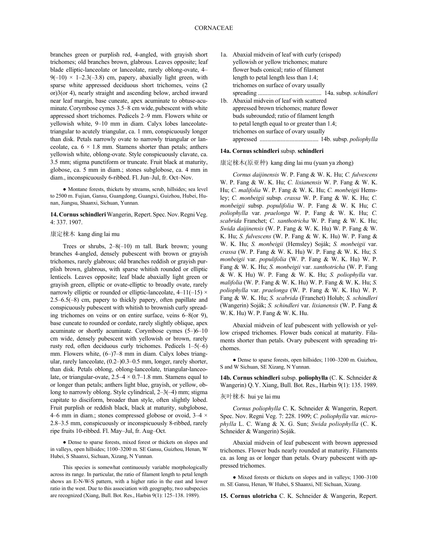branches green or purplish red, 4-angled, with grayish short trichomes; old branches brown, glabrous. Leaves opposite; leaf blade elliptic-lanceolate or lanceolate, rarely oblong-ovate, 4–  $9(-10) \times 1-2.3(-3.8)$  cm, papery, abaxially light green, with sparse white appressed deciduous short trichomes, veins (2 or)3(or 4), nearly straight and ascending below, arched inward near leaf margin, base cuneate, apex acuminate to obtuse-acuminate.Corymbose cymes 3.5–8 cm wide, pubescent with white appressed short trichomes. Pedicels 2–9 mm. Flowers white or yellowish white, 9–10 mm in diam. Calyx lobes lanceolatetriangular to acutely triangular, ca. 1 mm, conspicuously longer than disk. Petals narrowly ovate to narrowly triangular or lanceolate, ca.  $6 \times 1.8$  mm. Stamens shorter than petals; anthers yellowish white, oblong-ovate. Style conspicuously clavate, ca. 3.5 mm; stigma punctiform or truncate. Fruit black at maturity, globose, ca. 5 mm in diam.; stones subglobose, ca. 4 mm in diam., inconspicuously 6-ribbed. Fl. Jun–Jul, fr. Oct–Nov.

● Montane forests, thickets by streams, scrub, hillsides; sea level to 2500 m. Fujian, Gansu, Guangdong, Guangxi, Guizhou, Hubei, Hunan, Jiangsu, Shaanxi, Sichuan, Yunnan.

14. Cornus schindleri Wangerin, Repert. Spec. Nov. Regni Veg. 4: 337. 1907.

# 康定梾木 kang ding lai mu

Trees or shrubs, 2–8(–10) m tall. Bark brown; young branches 4-angled, densely pubescent with brown or grayish trichomes, rarely glabrous; old branches reddish or grayish purplish brown, glabrous, with sparse whitish rounded or elliptic lenticels. Leaves opposite; leaf blade abaxially light green or grayish green, elliptic or ovate-elliptic to broadly ovate, rarely narrowly elliptic or rounded or elliptic-lanceolate,  $4-11(-15) \times$ 2.5–6.5(–8) cm, papery to thickly papery, often papillate and conspicuously pubescent with whitish to brownish curly spreading trichomes on veins or on entire surface, veins 6–8(or 9), base cuneate to rounded or cordate, rarely slightly oblique, apex acuminate or shortly acuminate. Corymbose cymes (5–)6–10 cm wide, densely pubescent with yellowish or brown, rarely rusty red, often deciduous curly trichomes. Pedicels 1–5(–6) mm. Flowers white, (6–)7–8 mm in diam. Calyx lobes triangular, rarely lanceolate, (0.2–)0.3–0.5 mm, longer, rarely shorter, than disk. Petals oblong, oblong-lanceolate, triangular-lanceolate, or triangular-ovate,  $2.5-4 \times 0.7-1.8$  mm. Stamens equal to or longer than petals; anthers light blue, grayish, or yellow, oblong to narrowly oblong. Style cylindrical, 2–3(–4) mm; stigma capitate to disciform, broader than style, often slightly lobed. Fruit purplish or reddish black, black at maturity, subglobose, 4–6 mm in diam.; stones compressed globose or ovoid,  $3-4 \times$ 2.8–3.5 mm, conspicuously or inconspicuously 8-ribbed, rarely ripe fruits 10-ribbed. Fl. May–Jul, fr. Aug–Oct.

● Dense to sparse forests, mixed forest or thickets on slopes and in valleys, open hillsides; 1100–3200 m. SE Gansu, Guizhou, Henan, W Hubei, S Shaanxi, Sichuan, Xizang, N Yunnan.

This species is somewhat continuously variable morphologically across its range. In particular, the ratio of filament length to petal length shows an E-N-W-S pattern, with a higher ratio in the east and lower ratio in the west. Due to this association with geography, two subspecies are recognized (Xiang, Bull. Bot. Res., Harbin 9(1): 125–138. 1989).

1a. Abaxial midvein of leaf with curly (crisped) yellowish or yellow trichomes; mature flower buds conical; ratio of filament length to petal length less than 1.4; trichomes on surface of ovary usually spreading .......................................... 14a. subsp. *schindleri* 1b. Abaxial midvein of leaf with scattered appressed brown trichomes; mature flower buds subrounded; ratio of filament length to petal length equal to or greater than 1.4; trichomes on surface of ovary usually appressed ....................................... 14b. subsp. *poliophylla*

#### **14a. Cornus schindleri** subsp. **schindleri**

康定梾木(原亚种) kang ding lai mu (yuan ya zhong)

*Cornus daijinensis* W. P. Fang & W. K. Hu; *C. fulvescens* W. P. Fang & W. K. Hu; *C. lixianensis* W. P. Fang & W. K. Hu; *C. malifolia* W. P. Fang & W. K. Hu; *C. monbeigii* Hemsley; *C. monbeigii* subsp. *crassa* W. P. Fang & W. K. Hu; *C. monbeigii* subsp. *populifolia* W. P. Fang & W. K Hu; *C. poliophylla* var. *praelonga* W. P. Fang & W. K. Hu; *C. scabrida* Franchet; *C. xanthotricha* W. P. Fang & W. K. Hu; *Swida daijinensis* (W. P. Fang & W. K. Hu) W. P. Fang & W. K. Hu; *S. fulvescens* (W. P. Fang & W. K. Hu) W. P. Fang & W. K. Hu; *S. monbeigii* (Hemsley) Soják; *S. monbeigii* var. *crassa* (W. P. Fang & W. K. Hu) W. P. Fang & W. K. Hu; *S. monbeigii* var. *populifolia* (W. P. Fang & W. K. Hu) W. P. Fang & W. K. Hu; *S. monbeigii* var. *xanthotricha* (W. P. Fang & W. K Hu) W. P. Fang & W. K. Hu; *S. poliophylla* var. *malifolia* (W. P. Fang & W. K. Hu) W. P. Fang & W. K. Hu; *S. poliophylla* var. *praelonga* (W. P. Fang & W. K. Hu) W. P. Fang & W. K. Hu; *S. scabrida* (Franchet) Holub; *S. schindleri* (Wangerin) Soják; *S. schindleri* var. *lixianensis* (W. P. Fang & W. K. Hu) W. P. Fang & W. K. Hu.

Abaxial midvein of leaf pubescent with yellowish or yellow crisped trichomes. Flower buds conical at maturity. Filaments shorter than petals. Ovary pubescent with spreading trichomes.

● Dense to sparse forests, open hillsides; 1100–3200 m. Guizhou, S and W Sichuan, SE Xizang, N Yunnan.

**14b. Cornus schindleri** subsp. **poliophylla** (C. K. Schneider & Wangerin) Q.Y. Xiang, Bull. Bot. Res., Harbin 9(1): 135. 1989.

#### 灰叶梾木 hui ye lai mu

*Cornus poliophylla* C. K. Schneider & Wangerin, Repert. Spec. Nov. Regni Veg. 7: 228. 1909; *C. poliophylla* var. *microphylla* L. C. Wang & X. G. Sun; *Swida poliophylla* (C. K. Schneider & Wangerin) Soják.

Abaxial midvein of leaf pubescent with brown appressed trichomes. Flower buds nearly rounded at maturity. Filaments ca. as long as or longer than petals. Ovary pubescent with appressed trichomes.

● Mixed forests or thickets on slopes and in valleys; 1300–3100 m. SE Gansu, Henan, W Hubei, S Shaanxi, NE Sichuan, Xizang.

**15. Cornus ulotricha** C. K. Schneider & Wangerin, Repert.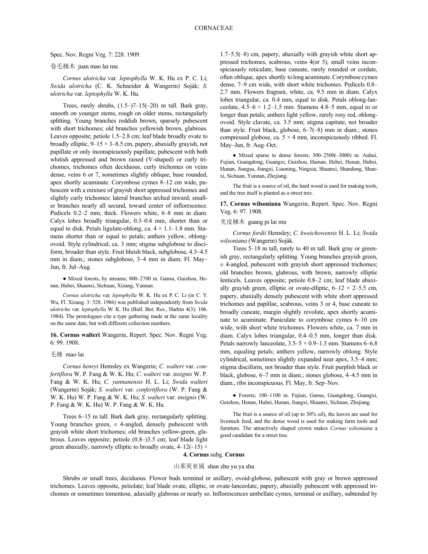#### Spec. Nov. Regni Veg. 7: 228. 1909.

# 卷毛梾木 juan mao lai mu

*Cornus ulotricha* var. *leptophylla* W. K. Hu ex P. C. Li; *Swida ulotricha* (C. K. Schneider & Wangerin) Soják; *S. ulotricha* var. *leptophylla* W. K. Hu.

Trees, rarely shrubs,  $(1.5-7-15(-20)$  m tall. Bark gray, smooth on younger stems, rough on older stems, rectangularly splitting. Young branches reddish brown, sparsely pubescent with short trichomes; old branches yellowish brown, glabrous. Leaves opposite; petiole 1.5–2.8 cm; leaf blade broadly ovate to broadly elliptic,  $9-15 \times 3-8.5$  cm, papery, abaxially grayish, not papillate or only inconspicuously papillate, pubescent with both whitish appressed and brown raised (V-shaped) or curly trichomes, trichomes often deciduous, curly trichomes on veins dense, veins 6 or 7, sometimes slightly oblique, base rounded, apex shortly acuminate. Corymbose cymes 8–12 cm wide, pubescent with a mixture of grayish short appressed trichomes and slightly curly trichomes; lateral branches arched inward; smaller branches nearly all secund, toward center of inflorescence. Pedicels 0.2–2 mm, thick. Flowers white, 6–8 mm in diam. Calyx lobes broadly triangular, 0.3–0.4 mm, shorter than or equal to disk. Petals ligulate-oblong, ca.  $4 \times 1.1 - 1.8$  mm. Stamens shorter than or equal to petals; anthers yellow, oblongovoid. Style cylindrical, ca. 3 mm; stigma subglobose to disciform, broader than style. Fruit bluish black, subglobose, 4.3–4.5 mm in diam.; stones subglobose, 3–4 mm in diam. Fl. May– Jun, fr. Jul–Aug.

● Mixed forests, by streams; 800–2700 m. Gansu, Guizhou, Henan, Hubei, Shaanxi, Sichuan, Xizang, Yunnan.

*Cornus ulotricha* var. *leptophylla* W. K. Hu ex P. C. Li (in C. Y. Wu, Fl. Xizang. 3: 528. 1986) was published independently from *Swida ulotricha* var. *leptophylla* W. K. Hu (Bull. Bot. Res., Harbin 4(3): 106. 1984). The protologues cite a type gathering made at the same locality on the same date, but with different collection numbers.

**16. Cornus walteri** Wangerin, Repert. Spec. Nov. Regni Veg. 6: 99. 1908.

#### 毛梾 mao lai

*Cornus henryi* Hemsley ex Wangerin; *C. walteri* var. *confertiflora* W. P. Fang & W. K. Hu; *C. walteri* var. *insignis* W. P. Fang & W. K. Hu; *C. yunnanensis* H. L. Li; *Swida walteri* (Wangerin) Soják; *S. walteri* var. *confertiflora* (W. P. Fang & W. K. Hu) W. P. Fang & W. K. Hu; *S. walteri* var. *insignis* (W. P. Fang & W. K. Hu) W. P. Fang & W. K. Hu.

Trees 6–15 m tall. Bark dark gray, rectangularly splitting. Young branches green,  $\pm$  4-angled, densely pubescent with grayish white short trichomes; old branches yellow-green, glabrous. Leaves opposite; petiole (0.8–)3.5 cm; leaf blade light green abaxially, narrowly elliptic to broadly ovate,  $4-12(-15) \times$  1.7–5.5(–8) cm, papery, abaxially with grayish white short appressed trichomes, scabrous, veins 4(or 5), small veins inconspicuously reticulate, base cuneate, rarely rounded or cordate, often oblique, apex shortly tolong acuminate.Corymbose cymes dense, 7–9 cm wide, with short white trichomes. Pedicels 0.8– 2.7 mm. Flowers fragrant, white, ca. 9.5 mm in diam. Calyx lobes triangular, ca. 0.4 mm, equal to disk. Petals oblong-lanceolate,  $4.5-6 \times 1.2-1.5$  mm. Stamens 4.8–5 mm, equal to or longer than petals; anthers light yellow, rarely rosy red, oblongovoid. Style clavate, ca. 3.5 mm; stigma capitate, not broader than style. Fruit black, globose, 6–7(–8) mm in diam.; stones compressed globose, ca.  $5 \times 4$  mm, inconspicuously ribbed. Fl. May–Jun, fr. Aug–Oct.

● Mixed sparse to dense forests; 300–2500(–3000) m. Anhui, Fujian, Guangdong, Guangxi, Guizhou, Hainan, Hebei, Henan, Hubei, Hunan, Jiangsu, Jiangxi, Liaoning, Ningxia, Shaanxi, Shandong, Shanxi, Sichuan, Yunnan, Zhejiang.

The fruit is a source of oil, the hard wood is used for making tools, and the tree itself is planted as a street tree.

**17. Cornus wilsoniana** Wangerin, Repert. Spec. Nov. Regni Veg. 6: 97. 1908.

#### 光皮梾木 guang pi lai mu

*Cornus fordii* Hemsley; *C. kweichowensis* H. L. Li; *Swida wilsoniana* (Wangerin) Soják.

Trees 5–18 m tall, rarely to 40 m tall. Bark gray or greenish gray, rectangularly splitting. Young branches grayish green,  $\pm$  4-angled, pubescent with grayish short appressed trichomes; old branches brown, glabrous, with brown, narrowly elliptic lenticels. Leaves opposite; petiole 0.8–2 cm; leaf blade abaxially grayish green, elliptic or ovate-elliptic,  $6-12 \times 2-5.5$  cm, papery, abaxially densely pubescent with white short appressed trichomes and papillae, scabrous, veins 3 or 4, base cuneate to broadly cuneate, margin slightly revolute, apex shortly acuminate to acuminate. Paniculate to corymbose cymes 6–10 cm wide, with short white trichomes. Flowers white, ca. 7 mm in diam. Calyx lobes triangular, 0.4–0.5 mm, longer than disk. Petals narrowly lanceolate,  $3.5-5 \times 0.9-1.3$  mm. Stamens 6-6.8 mm, equaling petals; anthers yellow, narrowly oblong. Style cylindrical, sometimes slightly expanded near apex, 3.5–4 mm; stigma disciform, not broader than style. Fruit purplish black or black, globose, 6–7 mm in diam.; stones globose, 4–4.5 mm in diam., ribs inconspicuous. Fl. May, fr. Sep–Nov.

● Forests; 100–1100 m. Fujian, Gansu, Guangdong, Guangxi, Guizhou, Henan, Hubei, Hunan, Jiangxi, Shaanxi, Sichuan, Zhejiang.

The fruit is a source of oil (up to 30% oil), the leaves are used for livestock feed, and the dense wood is used for making farm tools and furniture. The attractively shaped crown makes *Cornus wilsoniana* a good candidate for a street tree.

#### **4. Cornus** subg. **Cornus**

#### 山茱萸亚属 shan zhu yu ya shu

Shrubs or small trees, deciduous. Flower buds terminal or axillary, ovoid-globose, pubescent with gray or brown appressed trichomes. Leaves opposite, petiolate; leaf blade ovate, elliptic, or ovate-lanceolate, papery, abaxially pubescent with appressed trichomes or sometimes tomentose, adaxially glabrous or nearly so. Inflorescences umbellate cymes, terminal or axillary, subtended by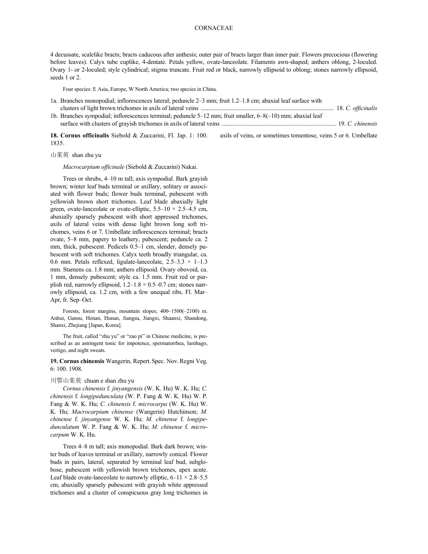# CORNACEAE

4 decussate, scalelike bracts; bracts caducous after anthesis; outer pair of bracts larger than inner pair. Flowers precocious (flowering before leaves). Calyx tube cuplike, 4-dentate. Petals yellow, ovate-lanceolate. Filaments awn-shaped; anthers oblong, 2-loculed. Ovary 1- or 2-loculed; style cylindrical; stigma truncate. Fruit red or black, narrowly ellipsoid to oblong; stones narrowly ellipsoid, seeds 1 or 2.

Four species: E Asia, Europe, W North America; two species in China.

- 1a. Branches monopodial; inflorescences lateral; peduncle 2–3 mm; fruit 1.2–1.8 cm; abaxial leaf surface with clusters of light brown trichomes in axils of lateral veins ........................................................................................ 18. *C. officinalis*
- 1b. Branches sympodial; inflorescences terminal; peduncle 5–12 mm; fruit smaller, 6–8(–10) mm; abaxial leaf surface with clusters of grayish trichomes in axils of lateral veins ............................................................................ 19. *C. chinensis*

**18. Cornus officinalis** Siebold & Zuccarini, Fl. Jap. 1: 100. 1835. axils of veins, or sometimes tomentose, veins 5 or 6. Umbellate

山茱萸 shan zhu yu

*Macrocarpium officinale* (Siebold & Zuccarini) Nakai.

Trees or shrubs, 4–10 m tall; axis sympodial. Bark grayish brown; winter leaf buds terminal or axillary, solitary or associated with flower buds; flower buds terminal, pubescent with yellowish brown short trichomes. Leaf blade abaxially light green, ovate-lanceolate or ovate-elliptic,  $5.5-10 \times 2.5-4.5$  cm, abaxially sparsely pubescent with short appressed trichomes, axils of lateral veins with dense light brown long soft trichomes, veins 6 or 7. Umbellate inflorescences terminal; bracts ovate, 5–8 mm, papery to leathery, pubescent; peduncle ca. 2 mm, thick, pubescent. Pedicels 0.5–1 cm, slender, densely pubescent with soft trichomes. Calyx teeth broadly triangular, ca. 0.6 mm. Petals reflexed, ligulate-lanceolate,  $2.5-3.3 \times 1-1.3$ mm. Stamens ca. 1.8 mm; anthers ellipsoid. Ovary obovoid, ca. 1 mm, densely pubescent; style ca. 1.5 mm. Fruit red or purplish red, narrowly ellipsoid,  $1.2-1.8 \times 0.5-0.7$  cm; stones narrowly ellipsoid, ca. 1.2 cm, with a few unequal ribs. Fl. Mar– Apr, fr. Sep–Oct.

Forests, forest margins, mountain slopes; 400–1500(–2100) m. Anhui, Gansu, Henan, Hunan, Jiangsu, Jiangxi, Shaanxi, Shandong, Shanxi, Zhejiang [Japan, Korea].

The fruit, called "zhu yu" or "zao pi" in Chinese medicine, is prescribed as an astringent tonic for impotence, spermatorrhea, lumbago, vertigo, and night sweats.

**19. Cornus chinensis** Wangerin, Repert.Spec. Nov.Regni Veg. 6: 100. 1908.

# 川鄂山茱萸 chuan e shan zhu yu

*Cornus chinensis* f. *jinyangensis* (W. K. Hu) W. K. Hu; *C. chinensis* f. *longipedunculata* (W. P. Fang & W. K. Hu) W. P. Fang & W. K. Hu; *C. chinensis* f. *microcarpa* (W. K. Hu) W. K. Hu; *Macrocarpium chinense* (Wangerin) Hutchinson; *M. chinense* f. *jinyangense* W. K. Hu; *M. chinense* f. *longipedunculatum* W. P. Fang & W. K. Hu; *M. chinense* f. *microcarpum* W. K. Hu.

Trees 4–8 m tall; axis monopodial. Bark dark brown; winter buds of leaves terminal or axillary, narrowly conical. Flower buds in pairs, lateral, separated by terminal leaf bud, subglobose, pubescent with yellowish brown trichomes, apex acute. Leaf blade ovate-lanceolate to narrowly elliptic,  $6-11 \times 2.8-5.5$ cm, abaxially sparsely pubescent with grayish white appressed trichomes and a cluster of conspicuous gray long trichomes in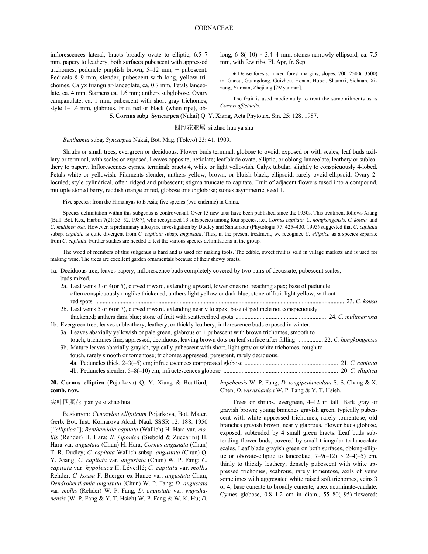inflorescences lateral; bracts broadly ovate to elliptic, 6.5–7 mm, papery to leathery, both surfaces pubescent with appressed trichomes; peduncle purplish brown,  $5-12$  mm,  $\pm$  pubescent. Pedicels 8–9 mm, slender, pubescent with long, yellow trichomes. Calyx triangular-lanceolate, ca. 0.7 mm. Petals lanceolate, ca. 4 mm. Stamens ca. 1.6 mm; anthers subglobose. Ovary campanulate, ca. 1 mm, pubescent with short gray trichomes; style 1–1.4 mm, glabrous. Fruit red or black (when ripe), oblong,  $6-8(-10) \times 3.4-4$  mm; stones narrowly ellipsoid, ca. 7.5 mm, with few ribs. Fl. Apr, fr. Sep.

● Dense forests, mixed forest margins, slopes; 700–2500(–3500) m. Gansu, Guangdong, Guizhou, Henan, Hubei, Shaanxi, Sichuan, Xizang, Yunnan, Zhejiang [?Myanmar].

The fruit is used medicinally to treat the same ailments as is *Cornus officinalis*.

**5. Cornus** subg. **Syncarpea** (Nakai) Q. Y. Xiang, Acta Phytotax. Sin. 25: 128. 1987.

四照花亚属 si zhao hua ya shu

# *Benthamia* subg. *Syncarpea* Nakai, Bot. Mag. (Tokyo) 23: 41. 1909.

Shrubs or small trees, evergreen or deciduous. Flower buds terminal, globose to ovoid, exposed or with scales; leaf buds axillary or terminal, with scales or exposed. Leaves opposite, petiolate; leaf blade ovate, elliptic, or oblong-lanceolate, leathery or subleathery to papery. Inflorescences cymes, terminal; bracts 4, white or light yellowish. Calyx tubular, slightly to conspicuously 4-lobed. Petals white or yellowish. Filaments slender; anthers yellow, brown, or bluish black, ellipsoid, rarely ovoid-ellipsoid. Ovary 2 loculed; style cylindrical, often ridged and pubescent; stigma truncate to capitate. Fruit of adjacent flowers fused into a compound, multiple stoned berry, reddish orange or red, globose or subglobose; stones asymmetric, seed 1.

Five species: from the Himalayas to E Asia; five species (two endemic) in China.

Species delimitation within this subgenus is controversial. Over 15 new taxa have been published since the 1950s. This treatment follows Xiang (Bull. Bot. Res., Harbin 7(2): 33–52. 1987), who recognized 13 subspecies among four species, i.e., *Cornus capitata, C. hongkongensis, C. kousa,* and *C. multinervosa*. However, a preliminary allozyme investigation by Dudley and Santamour (Phytologia 77: 425–430. 1995) suggested that *C. capitata* subsp. *capitata* is quite divergent from *C. capitata* subsp. *angustata*. Thus, in the present treatment, we recognize *C. elliptica* as a species separate from *C. capitata*. Further studies are needed to test the various species delimitations in the group.

The wood of members of this subgenus is hard and is used for making tools. The edible, sweet fruit is sold in village markets and is used for making wine. The trees are excellent garden ornamentals because of their showy bracts.

- 1a. Deciduous tree; leaves papery; inflorescence buds completely covered by two pairs of decussate, pubescent scales; buds mixed.
- 2a. Leaf veins 3 or 4(or 5), curved inward, extending upward, lower ones not reaching apex; base of peduncle often conspicuously ringlike thickened; anthers light yellow or dark blue; stone of fruit light yellow, without red spots ..................................................................................................................................................................... 23. *C. kousa* 2b. Leaf veins 5 or 6(or 7), curved inward, extending nearly to apex; base of peduncle not conspicuously thickened; anthers dark blue; stone of fruit with scattered red spots ............................................................ 24. *C. multinervosa* 1b. Evergreen tree; leaves subleathery, leathery, or thickly leathery; inflorescence buds exposed in winter. 3a. Leaves abaxially yellowish or pale green, glabrous or  $\pm$  pubescent with brown trichomes, smooth to touch; trichomes fine, appressed, deciduous, leaving brown dots on leaf surface after falling ................. 22. *C. hongkongensis* 3b. Mature leaves abaxially grayish, typically pubescent with short, light gray or white trichomes, rough to touch, rarely smooth or tomentose; trichomes appressed, persistent, rarely deciduous. 4a. Peduncles thick, 2–3(–5) cm; infructescences compressed globose .............................................................. 21. *C. capitata* 4b. Peduncles slender, 5–8(–10) cm; infructescences globose ............................................................................ 20. *C. elliptica*

**20. Cornus elliptica** (Pojarkova) Q. Y. Xiang & Boufford, **comb. nov.**

#### 尖叶四照花 jian ye si zhao hua

Basionym: *Cynoxylon ellipticum* Pojarkova, Bot. Mater. Gerb. Bot. Inst. Komarova Akad. Nauk SSSR 12: 188. 1950 [*"elliptica"*]; *Benthamidia capitata* (Wallich) H. Hara var. *mollis* (Rehder) H. Hara; *B. japonica* (Siebold & Zuccarini) H. Hara var. *angustata* (Chun) H. Hara; *Cornus angustata* (Chun) T. R. Dudley; *C. capitata* Wallich subsp. *angustata* (Chun) Q. Y. Xiang; *C. capitata* var. *angustata* (Chun) W. P. Fang; *C. capitata* var. *hypoleuca* H. Léveillé; *C. capitata* var. *mollis* Rehder; *C. kousa* F. Buerger ex Hance var. *angustata* Chun; *Dendrobenthamia angustata* (Chun) W. P. Fang; *D. angustata* var. *mollis* (Rehder) W. P. Fang; *D. angustata* var. *wuyishanensis* (W. P. Fang & Y. T. Hsieh) W. P. Fang & W. K. Hu; *D.* *hupehensis* W. P. Fang; *D. longipedunculata* S. S. Chang & X. Chen; *D. wuyishanica* W. P. Fang & Y. T. Hsieh.

Trees or shrubs, evergreen, 4–12 m tall. Bark gray or grayish brown; young branches grayish green, typically pubescent with white appressed trichomes, rarely tomentose; old branches grayish brown, nearly glabrous. Flower buds globose, exposed, subtended by 4 small green bracts. Leaf buds subtending flower buds, covered by small triangular to lanceolate scales. Leaf blade grayish green on both surfaces, oblong-elliptic or obovate-elliptic to lanceolate,  $7-9(-12) \times 2-4(-5)$  cm, thinly to thickly leathery, densely pubescent with white appressed trichomes, scabrous, rarely tomentose, axils of veins sometimes with aggregated white raised soft trichomes, veins 3 or 4, base cuneate to broadly cuneate, apex acuminate-caudate. Cymes globose, 0.8–1.2 cm in diam., 55–80(–95)-flowered;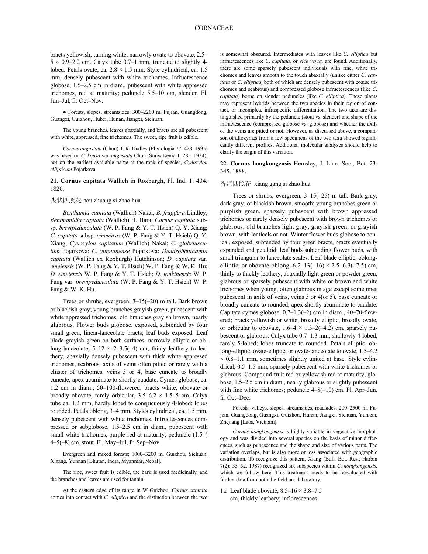bracts yellowish, turning white, narrowly ovate to obovate, 2.5–  $5 \times 0.9$ –2.2 cm. Calyx tube 0.7–1 mm, truncate to slightly 4lobed. Petals ovate, ca.  $2.8 \times 1.5$  mm. Style cylindrical, ca. 1.5 mm, densely pubescent with white trichomes. Infructescence globose, 1.5–2.5 cm in diam., pubescent with white appressed trichomes, red at maturity; peduncle 5.5–10 cm, slender. Fl. Jun–Jul, fr. Oct–Nov.

● Forests, slopes, streamsides; 300–2200 m. Fujian, Guangdong, Guangxi, Guizhou, Hubei, Hunan, Jiangxi, Sichuan.

The young branches, leaves abaxially, and bracts are all pubescent with white, appressed, fine trichomes. The sweet, ripe fruit is edible.

*Cornus angustata* (Chun) T. R. Dudley (Phytologia 77: 428. 1995) was based on *C. kousa* var. *angustata* Chun (Sunyatsenia 1: 285. 1934), not on the earliest available name at the rank of species, *Cynoxylon ellipticum* Pojarkova.

**21. Cornus capitata** Wallich in Roxburgh, Fl. Ind. 1: 434. 1820.

### 头状四照花 tou zhuang si zhao hua

*Benthamia capitata* (Wallich) Nakai; *B. fragifera* Lindley; *Benthamidia capitata* (Wallich) H. Hara; *Cornus capitata* subsp. *brevipedunculata* (W. P. Fang & Y. T. Hsieh) Q. Y. Xiang; *C. capitata* subsp. *emeiensis* (W. P. Fang & Y. T. Hsieh) Q. Y. Xiang; *Cynoxylon capitatum* (Wallich) Nakai; *C. glabriusculum* Pojarkova; *C. yunnanense* Pojarkova; *Dendrobenthamia capitata* (Wallich ex Roxburgh) Hutchinson; *D. capitata* var. *emeiensis* (W. P. Fang & Y. T. Hsieh) W. P. Fang & W. K. Hu; *D. emeiensis* W. P. Fang & Y. T. Hsieh; *D. tonkinensis* W. P. Fang var. *brevipedunculata* (W. P. Fang & Y. T. Hsieh) W. P. Fang & W. K. Hu.

Trees or shrubs, evergreen, 3–15(–20) m tall. Bark brown or blackish gray; young branches grayish green, pubescent with white appressed trichomes; old branches grayish brown, nearly glabrous. Flower buds globose, exposed, subtended by four small green, linear-lanceolate bracts; leaf buds exposed. Leaf blade grayish green on both surfaces, narrowly elliptic or oblong-lanceolate,  $5-12 \times 2-3.5(-4)$  cm, thinly leathery to leathery, abaxially densely pubescent with thick white appressed trichomes, scabrous, axils of veins often pitted or rarely with a cluster of trichomes, veins 3 or 4, base cuneate to broadly cuneate, apex acuminate to shortly caudate. Cymes globose, ca. 1.2 cm in diam., 50–100-flowered; bracts white, obovate or broadly obovate, rarely orbicular,  $3.5-6.2 \times 1.5-5$  cm. Calyx tube ca. 1.2 mm, hardly lobed to conspicuously 4-lobed; lobes rounded. Petals oblong, 3–4 mm. Styles cylindrical, ca. 1.5 mm, densely pubescent with white trichomes. Infructescences compressed or subglobose, 1.5–2.5 cm in diam., pubescent with small white trichomes, purple red at maturity; peduncle (1.5–) 4–5(–8) cm, stout. Fl. May–Jul, fr. Sep–Nov.

Evergreen and mixed forests; 1000–3200 m. Guizhou, Sichuan, Xizang, Yunnan [Bhutan, India, Myanmar, Nepal].

The ripe, sweet fruit is edible, the bark is used medicinally, and the branches and leaves are used for tannin.

At the eastern edge of its range in W Guizhou, *Cornus capitata* comes into contact with *C. elliptica* and the distinction between the two is somewhat obscured. Intermediates with leaves like *C. elliptica* but infructescences like *C. capitata,* or *vice versa,* are found. Additionally, there are some sparsely pubescent individuals with fine, white trichomes and leaves smooth to the touch abaxially (unlike either *C. capitata* or *C. elliptica,* both of which are densely pubescent with coarse trichomes and scabrous) and compressed globose infructescences (like *C. capitata*) borne on slender peduncles (like *C. elliptica*). These plants may represent hybrids between the two species in their region of contact, or incomplete infraspecific differentiation. The two taxa are distinguished primarily by the peduncle (stout vs. slender) and shape of the infructescence (compressed globose vs. globose) and whether the axils of the veins are pitted or not. However, as discussed above, a comparison of allozymes from a few specimens of the two taxa showed significantly different profiles. Additional molecular analyses should help to clarify the origin of this variation.

#### **22. Cornus hongkongensis** Hemsley, J. Linn. Soc., Bot. 23: 345. 1888.

#### 香港四照花 xiang gang si zhao hua

Trees or shrubs, evergreen, 3–15(–25) m tall. Bark gray, dark gray, or blackish brown, smooth; young branches green or purplish green, sparsely pubescent with brown appressed trichomes or rarely densely pubescent with brown trichomes or glabrous; old branches light gray, grayish green, or grayish brown, with lenticels or not. Winter flower buds globose to conical, exposed, subtended by four green bracts, bracts eventually expanded and petaloid; leaf buds subtending flower buds, with small triangular to lanceolate scales. Leaf blade elliptic, oblongelliptic, or obovate-oblong,  $6.2-13(-16) \times 2.5-6.3(-7.5)$  cm, thinly to thickly leathery, abaxially light green or powder green, glabrous or sparsely pubescent with white or brown and white trichomes when young, often glabrous in age except sometimes pubescent in axils of veins, veins 3 or 4(or 5), base cuneate or broadly cuneate to rounded, apex shortly acuminate to caudate. Capitate cymes globose, 0.7–1.3(–2) cm in diam., 40–70-flowered; bracts yellowish or white, broadly elliptic, broadly ovate, or orbicular to obovate,  $1.6-4 \times 1.3-2(-4.2)$  cm, sparsely pubescent or glabrous. Calyx tube 0.7–1.3 mm, shallowly 4-lobed, rarely 5-lobed; lobes truncate to rounded. Petals elliptic, oblong-elliptic, ovate-elliptic, or ovate-lanceolate to ovate, 1.5–4.2  $\times$  0.8–1.1 mm, sometimes slightly united at base. Style cylindrical, 0.5–1.5 mm, sparsely pubescent with white trichomes or glabrous. Compound fruit red or yellowish red at maturity, globose, 1.5–2.5 cm in diam., nearly glabrous or slightly pubescent with fine white trichomes; peduncle  $4-8(-10)$  cm. Fl. Apr–Jun, fr. Oct–Dec.

Forests, valleys, slopes, streamsides, roadsides; 200–2500 m. Fujian, Guangdong, Guangxi, Guizhou, Hunan, Jiangxi, Sichuan, Yunnan, Zhejiang [Laos, Vietnam].

*Cornus hongkongensis* is highly variable in vegetative morphology and was divided into several species on the basis of minor differences, such as pubescence and the shape and size of various parts. The variation overlaps, but is also more or less associated with geographic distribution. To recognize this pattern, Xiang (Bull. Bot. Res., Harbin 7(2): 33–52. 1987) recognized six subspecies within *C. hongkongensis,* which we follow here. This treatment needs to be reevaluated with further data from both the field and laboratory.

1a. Leaf blade obovate,  $8.5-16 \times 3.8-7.5$ cm, thickly leathery; inflorescences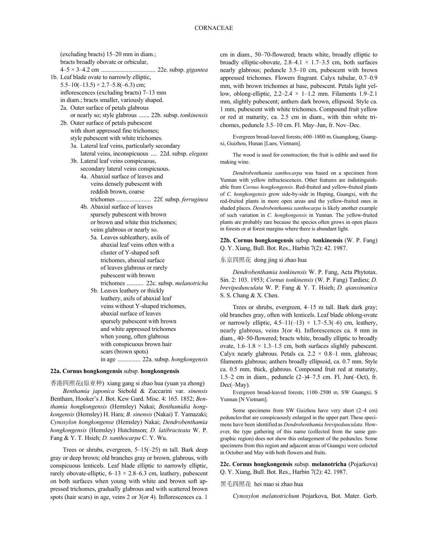(excluding bracts) 15–20 mm in diam.; bracts broadly obovate or orbicular, 4–5 × 3–4.2 cm .................................... 22e. subsp. *gigantea* 1b. Leaf blade ovate to narrowly elliptic,  $5.5-10(-13.5) \times 2.7-5.8(-6.3)$  cm; inflorescences (excluding bracts) 7–13 mm in diam.; bracts smaller, variously shaped. 2a. Outer surface of petals glabrous or nearly so; style glabrous ....... 22b. subsp. *tonkinensis* 2b. Outer surface of petals pubescent with short appressed fine trichomes; style pubescent with white trichomes. 3a. Lateral leaf veins, particularly secondary lateral veins, inconspicuous .... 22d. subsp. *elegans* 3b. Lateral leaf veins conspicuous, secondary lateral veins conspicuous. 4a. Abaxial surface of leaves and veins densely pubescent with reddish brown, coarse trichomes ....................... 22f. subsp. *ferruginea* 4b. Abaxial surface of leaves sparsely pubescent with brown or brown and white thin trichomes; veins glabrous or nearly so. 5a. Leaves subleathery, axils of abaxial leaf veins often with a cluster of Y-shaped soft trichomes, abaxial surface of leaves glabrous or rarely pubescent with brown trichomes ........... 22c. subsp. *melanotricha* 5b. Leaves leathery or thickly leathery, axils of abaxial leaf veins without Y-shaped trichomes, abaxial surface of leaves sparsely pubescent with brown and white appressed trichomes when young, often glabrous with conspicuous brown hair

#### **22a. Cornus hongkongensis** subsp. **hongkongensis**

scars (brown spots)

in age ............... 22a. subsp. *hongkongensis*

香港四照花(原亚种) xiang gang si zhao hua (yuan ya zhong) *Benthamia japonica* Siebold & Zuccarini var. *sinensis* Bentham, Hooker's J. Bot. Kew Gard. Misc. 4: 165. 1852; *Benthamia hongkongensis* (Hemsley) Nakai; *Benthamidia hongkongensis* (Hemsley) H. Hara; *B. sinensis* (Nakai) T. Yamazaki; *Cynoxylon hongkongense* (Hemsley) Nakai; *Dendrobenthamia hongkongensis* (Hemsley) Hutchinson; *D. latibracteata* W. P. Fang & Y. T. Hsieh; *D. xanthocarpa* C. Y. Wu.

Trees or shrubs, evergreen, 5–15(–25) m tall. Bark deep gray or deep brown; old branches gray or brown, glabrous, with conspicuous lenticels. Leaf blade elliptic to narrowly elliptic, rarely obovate-elliptic,  $6-13 \times 2.8-6.3$  cm, leathery, pubescent on both surfaces when young with white and brown soft appressed trichomes, gradually glabrous and with scattered brown spots (hair scars) in age, veins 2 or 3(or 4). Inflorescences ca. 1 cm in diam., 50–70-flowered; bracts white, broadly elliptic to broadly elliptic-obovate,  $2.8-4.1 \times 1.7-3.5$  cm, both surfaces nearly glabrous; peduncle 3.5–10 cm, pubescent with brown appressed trichomes. Flowers fragrant. Calyx tubular, 0.7–0.9 mm, with brown trichomes at base, pubescent. Petals light yellow, oblong-elliptic,  $2.2-2.4 \times 1-1.2$  mm. Filaments 1.9-2.1 mm, slightly pubescent; anthers dark brown, ellipsoid. Style ca. 1 mm, pubescent with white trichomes. Compound fruit yellow or red at maturity, ca. 2.5 cm in diam., with thin white trichomes, peduncle 3.5–10 cm. Fl. May–Jun, fr. Nov–Dec.

Evergreen broad-leaved forests; 600–1800 m.Guangdong, Guangxi, Guizhou, Hunan [Laos, Vietnam].

The wood is used for construction; the fruit is edible and used for making wine.

*Dendrobenthamia xanthocarpa* was based on a specimen from Yunnan with yellow infructescences. Other features are indistinguishable from *Cornus hongkongensis*. Red-fruited and yellow-fruited plants of *C. hongkongensis* grow side-by-side in Huping, Guangxi, with the red-fruited plants in more open areas and the yellow-fruited ones in shaded places. *Dendrobenthamia xanthocarpa* is likely another example of such variation in *C. hongkongensis* in Yunnan. The yellow-fruited plants are probably rare because the species often grows in open places in forests or at forest margins where there is abundant light.

**22b. Cornus hongkongensis** subsp. **tonkinensis** (W. P. Fang) Q. Y. Xiang, Bull. Bot. Res., Harbin 7(2): 42. 1987.

#### 东京四照花 dong jing si zhao hua

*Dendrobenthamia tonkinensis* W. P. Fang, Acta Phytotax. Sin. 2: 103. 1953; *Cornus tonkinensis* (W. P. Fang) Tardieu; *D. brevipedunculata* W. P. Fang & Y. T. Hsieh; *D. qianxinanica* S. S. Chang & X. Chen.

Trees or shrubs, evergreen, 4–15 m tall. Bark dark gray; old branches gray, often with lenticels. Leaf blade oblong-ovate or narrowly elliptic,  $4.5-11(-13) \times 1.7-5.3(-6)$  cm, leathery, nearly glabrous, veins 3(or 4). Inflorescences ca. 8 mm in diam., 40–50-flowered; bracts white, broadly elliptic to broadly ovate,  $1.6-1.8 \times 1.3-1.5$  cm, both surfaces slightly pubescent. Calyx nearly glabrous. Petals ca.  $2.2 \times 0.8-1$  mm, glabrous; filaments glabrous; anthers broadly ellipsoid, ca. 0.7 mm. Style ca. 0.5 mm, thick, glabrous. Compound fruit red at maturity, 1.5–2 cm in diam., peduncle (2–)4–7.5 cm. Fl. Jun(–Oct), fr. Dec(–May).

Evergreen broad-leaved forests; 1100–2500 m. SW Guangxi, S Yunnan [N Vietnam].

Some specimens from SW Guizhou have very short (2–4 cm) pedunclesthat are conspicuously enlarged in the upper part.These specimens have been identified as *Dendrobenthamia brevipedunculata*. However, the type gathering of this name (collected from the same geographic region) does not show this enlargement of the peduncles. Some specimens from this region and adjacent areas of Guangxi were colected in October and May with both flowers and fruits.

**22c. Cornus hongkongensis** subsp. **melanotricha** (Pojarkova) Q. Y. Xiang, Bull. Bot. Res., Harbin 7(2): 42. 1987.

黑毛四照花 hei mao si zhao hua

*Cynoxylon melanotrichum* Pojarkova, Bot. Mater. Gerb.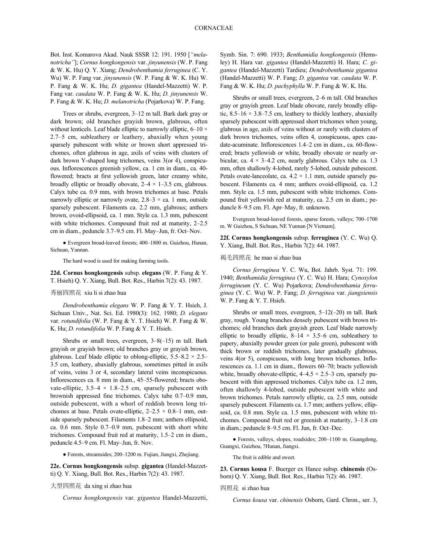Bot. Inst. Komarova Akad. Nauk SSSR 12: 191. 1950 [*"melanotricha"*]; *Cornus hongkongensis* var. *jinyunensis* (W. P. Fang & W. K. Hu) Q. Y. Xiang; *Dendrobenthamia ferruginea* (C. Y. Wu) W. P. Fang var. *jinyunensis* (W. P. Fang & W. K. Hu) W. P. Fang & W. K. Hu; *D. gigantea* (Handel-Mazzetti) W. P. Fang var. *caudata* W. P. Fang & W. K. Hu; *D. jinyunensis* W. P. Fang & W. K. Hu; *D. melanotricha* (Pojarkova) W. P. Fang.

Trees or shrubs, evergreen, 3–12 m tall. Bark dark gray or dark brown; old branches grayish brown, glabrous, often without lenticels. Leaf blade elliptic to narrowly elliptic,  $6-10 \times$ 2.7–5 cm, subleathery or leathery, abaxially when young sparsely pubescent with white or brown short appressed trichomes, often glabrous in age, axils of veins with clusters of dark brown Y-shaped long trichomes, veins 3(or 4), conspicuous. Inflorescences greenish yellow, ca. 1 cm in diam., ca. 40 flowered; bracts at first yellowish green, later creamy white, broadly elliptic or broadly obovate,  $2-4 \times 1-3.5$  cm, glabrous. Calyx tube ca. 0.9 mm, with brown trichomes at base. Petals narrowly elliptic or narrowly ovate,  $2.8-3 \times$  ca. 1 mm, outside sparsely pubescent. Filaments ca. 2.2 mm, glabrous; anthers brown, ovoid-ellipsoid, ca. 1 mm. Style ca. 1.3 mm, pubescent with white trichomes. Compound fruit red at maturity, 2–2.5 cm in diam., peduncle 3.7–9.5 cm. Fl. May–Jun, fr. Oct–Nov.

● Evergreen broad-leaved forests; 400–1800 m. Guizhou, Hunan, Sichuan, Yunnan.

The hard wood is used for making farming tools.

**22d. Cornus hongkongensis** subsp. **elegans** (W. P. Fang & Y. T. Hsieh) Q. Y. Xiang, Bull. Bot. Res., Harbin 7(2): 43. 1987.

#### 秀丽四照花 xiu li si zhao hua

*Dendrobenthamia elegans* W. P. Fang & Y. T. Hsieh, J. Sichuan Univ., Nat. Sci. Ed. 1980(3): 162. 1980; *D. elegans* var. *rotundifolia* (W. P. Fang & Y. T. Hsieh) W. P. Fang & W. K. Hu; *D. rotundifolia* W. P. Fang & Y. T. Hsieh.

Shrubs or small trees, evergreen, 3–8(–15) m tall. Bark grayish or grayish brown; old branches gray or grayish brown, glabrous. Leaf blade elliptic to oblong-elliptic,  $5.5-8.2 \times 2.5-$ 3.5 cm, leathery, abaxially glabrous, sometimes pitted in axils of veins, veins 3 or 4, secondary lateral veins inconspicuous. Inflorescences ca. 8 mm in diam., 45–55-flowered; bracts obovate-elliptic,  $3.5-4 \times 1.8-2.5$  cm, sparsely pubescent with brownish appressed fine trichomes. Calyx tube 0.7–0.9 mm, outside pubescent, with a whorl of reddish brown long trichomes at base. Petals ovate-elliptic,  $2-2.5 \times 0.8-1$  mm, outside sparsely pubescent. Filaments 1.8–2 mm; anthers ellipsoid, ca. 0.6 mm. Style 0.7–0.9 mm, pubescent with short white trichomes. Compound fruit red at maturity, 1.5–2 cm in diam., peduncle 4.5–9 cm. Fl. May–Jun, fr. Nov.

● Forests, streamsides; 200–1200 m. Fujian, Jiangxi, Zhejiang.

**22e. Cornus hongkongensis** subsp. **gigantea** (Handel-Mazzetti) Q. Y. Xiang, Bull. Bot. Res., Harbin 7(2): 43. 1987.

#### 大型四照花 da xing si zhao hua

*Cornus hongkongensis* var. *gigantea* Handel-Mazzetti,

Symb. Sin. 7: 690. 1933; *Benthamidia hongkongensis* (Hemsley) H. Hara var. *gigantea* (Handel-Mazzetti) H. Hara; *C. gigantea* (Handel-Mazzetti) Tardieu; *Dendrobenthamia gigantea* (Handel-Mazzetti) W. P. Fang; *D. gigantea* var. *caudata* W. P. Fang & W. K. Hu; *D. pachyphylla* W. P. Fang & W. K. Hu.

Shrubs or small trees, evergreen, 2–6 m tall. Old branches gray or grayish green. Leaf blade obovate, rarely broadly elliptic,  $8.5-16 \times 3.8-7.5$  cm, leathery to thickly leathery, abaxially sparsely pubescent with appressed short trichomes when young, glabrous in age, axils of veins without or rarely with clusters of dark brown trichomes, veins often 4, conspicuous, apex caudate-acuminate. Inflorescences 1.4–2 cm in diam., ca. 60-flowered; bracts yellowish or white, broadly obovate or nearly orbicular, ca.  $4 \times 3-4.2$  cm, nearly glabrous. Calyx tube ca. 1.3 mm, often shallowly 4-lobed, rarely 5-lobed, outside pubescent. Petals ovate-lanceolate, ca.  $4.2 \times 1.1$  mm, outside sparsely pubescent. Filaments ca. 4 mm; anthers ovoid-ellipsoid, ca. 1.2 mm. Style ca. 1.5 mm, pubescent with white trichomes. Compound fruit yellowish red at maturity, ca. 2.5 cm in diam.; peduncle 8–9.5 cm. Fl. Apr–May, fr. unknown.

Evergreen broad-leaved forests, sparse forests, valleys; 700–1700 m. W Guizhou, S Sichuan, NE Yunnan [N Vietnam].

**22f. Cornus hongkongensis** subsp. **ferruginea** (Y. C. Wu) Q. Y. Xiang, Bull. Bot. Res., Harbin 7(2): 44. 1987.

#### 褐毛四照花 he mao si zhao hua

*Cornus ferruginea* Y. C. Wu, Bot. Jahrb. Syst. 71: 199. 1940; *Benthamidia ferruginea* (Y. C. Wu) H. Hara; *Cynoxylon ferrugineum* (Y. C. Wu) Pojarkova; *Dendrobenthamia ferruginea* (Y. C. Wu) W. P. Fang; *D. ferruginea* var. *jiangxiensis* W. P. Fang & Y. T. Hsieh.

Shrubs or small trees, evergreen, 5–12(–20) m tall. Bark gray, rough. Young branches densely pubescent with brown trichomes; old branches dark grayish green. Leaf blade narrowly elliptic to broadly elliptic,  $8-14 \times 3.5-6$  cm, subleathery to papery, abaxially powder green (or pale green), pubescent with thick brown or reddish trichomes, later gradually glabrous, veins 4(or 5), conspicuous, with long brown trichomes. Inflorescences ca. 1.1 cm in diam., flowers 60–70; bracts yellowish white, broadly obovate-elliptic,  $4-4.5 \times 2.5-3$  cm, sparsely pubescent with thin appressed trichomes. Calyx tube ca. 1.2 mm, often shallowly 4-lobed, outside pubescent with white and brown trichomes. Petals narrowly elliptic, ca. 2.5 mm, outside sparsely pubescent. Filaments ca. 1.7 mm; anthers yellow, ellipsoid, ca. 0.8 mm. Style ca. 1.5 mm, pubescent with white trichomes. Compound fruit red or greenish at maturity, 3–1.8 cm in diam.; peduncle 8–9.5 cm. Fl. Jun, fr. Oct–Dec.

● Forests, valleys, slopes, roadsides; 200–1100 m. Guangdong, Guangxi, Guizhou, ?Hunan, Jiangxi.

The fruit is edible and sweet.

**23. Cornus kousa** F. Buerger ex Hance subsp. **chinensis** (Osborn) Q. Y. Xiang, Bull. Bot. Res., Harbin 7(2): 46. 1987.

#### 四照花 si zhao hua

*Cornus kousa* var. *chinensis* Osborn, Gard. Chron., ser. 3,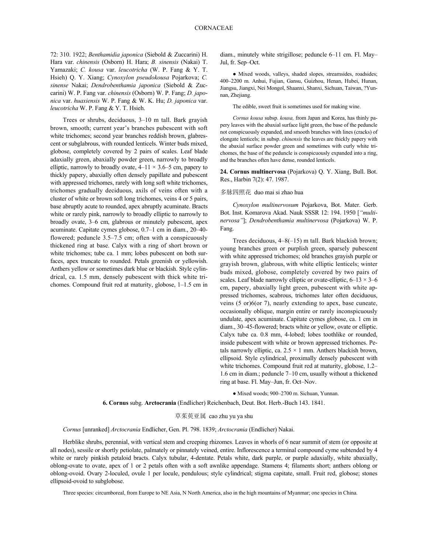72: 310. 1922; *Benthamidia japonica* (Siebold & Zuccarini) H. Hara var. *chinensis* (Osborn) H. Hara; *B. sinensis* (Nakai) T. Yamazaki; *C. kousa* var. *leucotricha* (W. P. Fang & Y. T. Hsieh) Q. Y. Xiang; *Cynoxylon pseudokousa* Pojarkova; *C. sinense* Nakai; *Dendrobenthamia japonica* (Siebold & Zuccarini) W. P. Fang var. *chinensis* (Osborn) W. P. Fang; *D. japonica* var. *huaxiensis* W. P. Fang & W. K. Hu; *D. japonica* var. *leucotricha* W. P. Fang & Y. T. Hsieh.

Trees or shrubs, deciduous, 3–10 m tall. Bark grayish brown, smooth; current year's branches pubescent with soft white trichomes; second year branches reddish brown, glabrescent or subglabrous, with rounded lenticels. Winter buds mixed, globose, completely covered by 2 pairs of scales. Leaf blade adaxially green, abaxially powder green, narrowly to broadly elliptic, narrowly to broadly ovate,  $4-11 \times 3.6-5$  cm, papery to thickly papery, abaxially often densely papillate and pubescent with appressed trichomes, rarely with long soft white trichomes, trichomes gradually deciduous, axils of veins often with a cluster of white or brown soft long trichomes, veins 4 or 5 pairs, base abruptly acute to rounded, apex abruptly acuminate. Bracts white or rarely pink, narrowly to broadly elliptic to narrowly to broadly ovate, 3–6 cm, glabrous or minutely pubescent, apex acuminate. Capitate cymes globose, 0.7–1 cm in diam., 20–40 flowered; peduncle 3.5–7.5 cm; often with a conspicuously thickened ring at base. Calyx with a ring of short brown or white trichomes; tube ca. 1 mm; lobes pubescent on both surfaces, apex truncate to rounded. Petals greenish or yellowish. Anthers yellow or sometimes dark blue or blackish. Style cylindrical, ca. 1.5 mm, densely pubescent with thick white trichomes. Compound fruit red at maturity, globose, 1–1.5 cm in diam., minutely white strigillose; peduncle 6–11 cm. Fl. May– Jul, fr. Sep–Oct.

● Mixed woods, valleys, shaded slopes, streamsides, roadsides; 400–2200 m. Anhui, Fujian, Gansu, Guizhou, Henan, Hubei, Hunan, Jiangsu, Jiangxi, Nei Mongol, Shaanxi, Shanxi, Sichuan, Taiwan, ?Yunnan, Zhejiang.

The edible, sweet fruit is sometimes used for making wine.

*Cornus kousa* subsp. *kousa,* from Japan and Korea, has thinly papery leaves with the abaxial surface light green, the base of the peduncle not conspicuously expanded, and smooth branches with lines (cracks) of elongate lenticels; in subsp. *chinensis* the leaves are thickly papery with the abaxial surface powder green and sometimes with curly white trichomes, the base of the peduncle is conspicuously expanded into a ring, and the branches often have dense, rounded lenticels.

**24. Cornus multinervosa** (Pojarkova) Q. Y. Xiang, Bull. Bot. Res., Harbin 7(2): 47. 1987.

#### 多脉四照花 duo mai si zhao hua

*Cynoxylon multinervosum* Pojarkova, Bot. Mater. Gerb. Bot. Inst. Komarova Akad. Nauk SSSR 12: 194. 1950 [*"multinervosa"*]; *Dendrobenthamia multinervosa* (Pojarkova) W. P. Fang.

Trees deciduous, 4–8(–15) m tall. Bark blackish brown; young branches green or purplish green, sparsely pubescent with white appressed trichomes; old branches grayish purple or grayish brown, glabrous, with white elliptic lenticels; winter buds mixed, globose, completely covered by two pairs of scales. Leaf blade narrowly elliptic or ovate-elliptic,  $6-13 \times 3-6$ cm, papery, abaxially light green, pubescent with white appressed trichomes, scabrous, trichomes later often deciduous, veins (5 or)6(or 7), nearly extending to apex, base cuneate, occasionally oblique, margin entire or rarely inconspicuously undulate, apex acuminate. Capitate cymes globose, ca. 1 cm in diam., 30–45-flowered; bracts white or yellow, ovate or elliptic. Calyx tube ca. 0.8 mm, 4-lobed; lobes toothlike or rounded, inside pubescent with white or brown appressed trichomes. Petals narrowly elliptic, ca.  $2.5 \times 1$  mm. Anthers blackish brown, ellipsoid. Style cylindrical, proximally densely pubescent with white trichomes. Compound fruit red at maturity, globose, 1.2– 1.6 cm in diam.; peduncle 7–10 cm, usually without a thickened ring at base. Fl. May–Jun, fr. Oct–Nov.

● Mixed woods; 900–2700 m. Sichuan, Yunnan.

**6. Cornus** subg. **Arctocrania** (Endlicher) Reichenbach, Deut. Bot. Herb.-Buch 143. 1841.

草茱萸亚属 cao zhu yu ya shu

*Cornus* [unranked] *Arctocrania* Endlicher, Gen. Pl. 798. 1839; *Arctocrania* (Endlicher) Nakai.

Herblike shrubs, perennial, with vertical stem and creeping rhizomes. Leaves in whorls of 6 near summit of stem (or opposite at all nodes), sessile or shortly petiolate, palmately or pinnately veined, entire. Inflorescence a terminal compound cyme subtended by 4 white or rarely pinkish petaloid bracts. Calyx tubular, 4-dentate. Petals white, dark purple, or purple adaxially, white abaxially, oblong-ovate to ovate, apex of 1 or 2 petals often with a soft awnlike appendage. Stamens 4; filaments short; anthers oblong or oblong-ovoid. Ovary 2-loculed, ovule 1 per locule, pendulous; style cylindrical; stigma capitate, small. Fruit red, globose; stones ellipsoid-ovoid to subglobose.

Three species: circumboreal, from Europe to NE Asia, N North America, also in the high mountains of Myanmar; one species in China.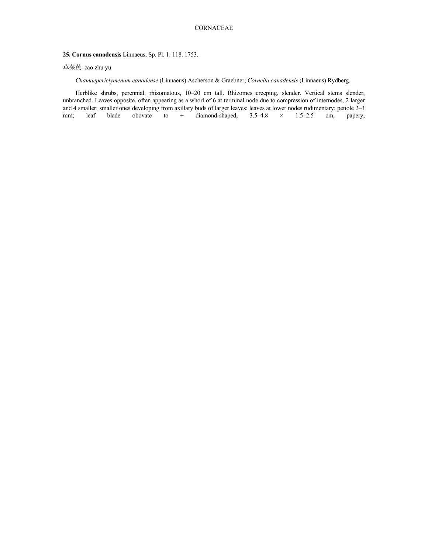**25. Cornus canadensis** Linnaeus, Sp. Pl. 1: 118. 1753.

# 草茱萸 cao zhu yu

*Chamaepericlymenum canadense* (Linnaeus) Ascherson & Graebner; *Cornella canadensis* (Linnaeus) Rydberg.

Herblike shrubs, perennial, rhizomatous, 10–20 cm tall. Rhizomes creeping, slender. Vertical stems slender, unbranched. Leaves opposite, often appearing as a whorl of 6 at terminal node due to compression of internodes, 2 larger and 4 smaller; smaller ones developing from axillary buds of larger leaves; leaves at lower nodes rudimentary; petiole  $2-3$  mm; leaf blade obovate to  $\pm$  diamond-shaped,  $3.5-4.8 \times 1.5-2.5$  cm, papery, mm; leaf blade obovate to  $\pm$  diamond-shaped, 3.5–4.8  $\times$  1.5–2.5 cm, papery,